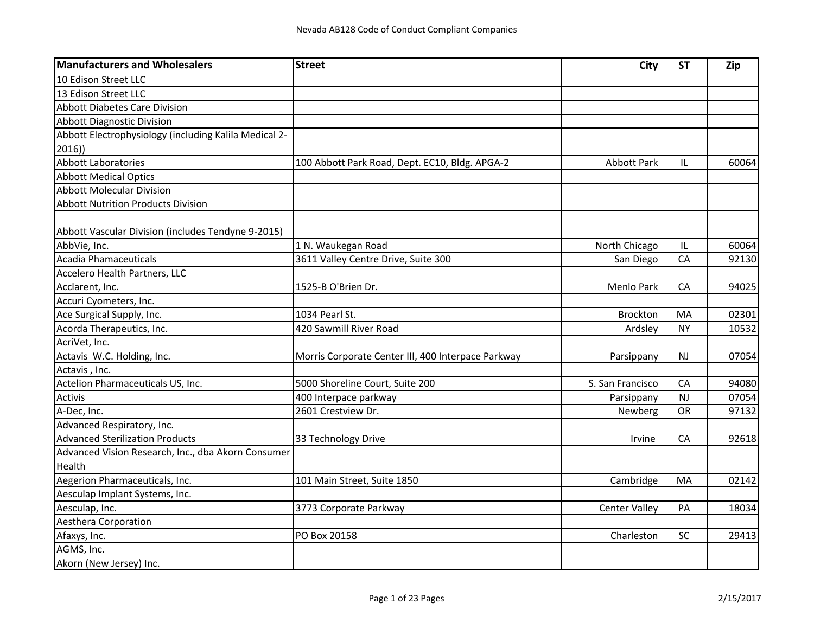| <b>Manufacturers and Wholesalers</b>                  | <b>Street</b>                                      | City                 | <b>ST</b> | <b>Zip</b> |
|-------------------------------------------------------|----------------------------------------------------|----------------------|-----------|------------|
| 10 Edison Street LLC                                  |                                                    |                      |           |            |
| 13 Edison Street LLC                                  |                                                    |                      |           |            |
| <b>Abbott Diabetes Care Division</b>                  |                                                    |                      |           |            |
| <b>Abbott Diagnostic Division</b>                     |                                                    |                      |           |            |
| Abbott Electrophysiology (including Kalila Medical 2- |                                                    |                      |           |            |
| 2016)                                                 |                                                    |                      |           |            |
| <b>Abbott Laboratories</b>                            | 100 Abbott Park Road, Dept. EC10, Bldg. APGA-2     | <b>Abbott Park</b>   | IL        | 60064      |
| <b>Abbott Medical Optics</b>                          |                                                    |                      |           |            |
| <b>Abbott Molecular Division</b>                      |                                                    |                      |           |            |
| <b>Abbott Nutrition Products Division</b>             |                                                    |                      |           |            |
|                                                       |                                                    |                      |           |            |
| Abbott Vascular Division (includes Tendyne 9-2015)    |                                                    |                      |           |            |
| AbbVie, Inc.                                          | 1 N. Waukegan Road                                 | North Chicago        | IL        | 60064      |
| Acadia Phamaceuticals                                 | 3611 Valley Centre Drive, Suite 300                | San Diego            | CA        | 92130      |
| Accelero Health Partners, LLC                         |                                                    |                      |           |            |
| Acclarent, Inc.                                       | 1525-B O'Brien Dr.                                 | Menlo Park           | CA        | 94025      |
| Accuri Cyometers, Inc.                                |                                                    |                      |           |            |
| Ace Surgical Supply, Inc.                             | 1034 Pearl St.                                     | Brockton             | MA        | 02301      |
| Acorda Therapeutics, Inc.                             | 420 Sawmill River Road                             | Ardsley              | <b>NY</b> | 10532      |
| AcriVet, Inc.                                         |                                                    |                      |           |            |
| Actavis W.C. Holding, Inc.                            | Morris Corporate Center III, 400 Interpace Parkway | Parsippany           | <b>NJ</b> | 07054      |
| Actavis, Inc.                                         |                                                    |                      |           |            |
| Actelion Pharmaceuticals US, Inc.                     | 5000 Shoreline Court, Suite 200                    | S. San Francisco     | CA        | 94080      |
| Activis                                               | 400 Interpace parkway                              | Parsippany           | NJ        | 07054      |
| A-Dec, Inc.                                           | 2601 Crestview Dr.                                 | Newberg              | <b>OR</b> | 97132      |
| Advanced Respiratory, Inc.                            |                                                    |                      |           |            |
| <b>Advanced Sterilization Products</b>                | 33 Technology Drive                                | Irvine               | CA        | 92618      |
| Advanced Vision Research, Inc., dba Akorn Consumer    |                                                    |                      |           |            |
| Health                                                |                                                    |                      |           |            |
| Aegerion Pharmaceuticals, Inc.                        | 101 Main Street, Suite 1850                        | Cambridge            | MA        | 02142      |
| Aesculap Implant Systems, Inc.                        |                                                    |                      |           |            |
| Aesculap, Inc.                                        | 3773 Corporate Parkway                             | <b>Center Valley</b> | PA        | 18034      |
| Aesthera Corporation                                  |                                                    |                      |           |            |
| Afaxys, Inc.                                          | PO Box 20158                                       | Charleston           | SC        | 29413      |
| AGMS, Inc.                                            |                                                    |                      |           |            |
| Akorn (New Jersey) Inc.                               |                                                    |                      |           |            |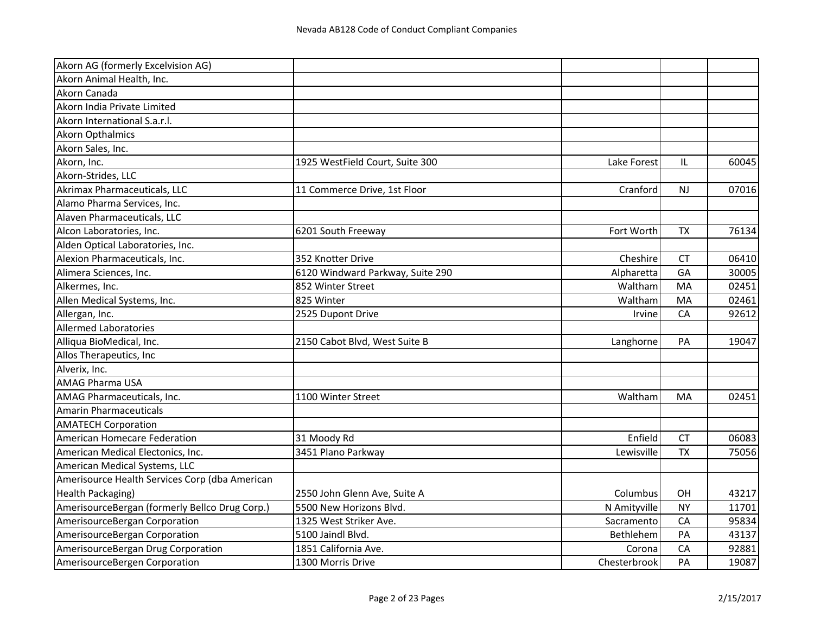| Akorn AG (formerly Excelvision AG)             |                                  |              |           |       |
|------------------------------------------------|----------------------------------|--------------|-----------|-------|
| Akorn Animal Health, Inc.                      |                                  |              |           |       |
| Akorn Canada                                   |                                  |              |           |       |
| Akorn India Private Limited                    |                                  |              |           |       |
| Akorn International S.a.r.l.                   |                                  |              |           |       |
| <b>Akorn Opthalmics</b>                        |                                  |              |           |       |
| Akorn Sales, Inc.                              |                                  |              |           |       |
| Akorn, Inc.                                    | 1925 WestField Court, Suite 300  | Lake Forest  | IL        | 60045 |
| Akorn-Strides, LLC                             |                                  |              |           |       |
| Akrimax Pharmaceuticals, LLC                   | 11 Commerce Drive, 1st Floor     | Cranford     | <b>NJ</b> | 07016 |
| Alamo Pharma Services, Inc.                    |                                  |              |           |       |
| Alaven Pharmaceuticals, LLC                    |                                  |              |           |       |
| Alcon Laboratories, Inc.                       | 6201 South Freeway               | Fort Worth   | <b>TX</b> | 76134 |
| Alden Optical Laboratories, Inc.               |                                  |              |           |       |
| Alexion Pharmaceuticals, Inc.                  | 352 Knotter Drive                | Cheshire     | <b>CT</b> | 06410 |
| Alimera Sciences, Inc.                         | 6120 Windward Parkway, Suite 290 | Alpharetta   | GA        | 30005 |
| Alkermes, Inc.                                 | 852 Winter Street                | Waltham      | MA        | 02451 |
| Allen Medical Systems, Inc.                    | 825 Winter                       | Waltham      | MA        | 02461 |
| Allergan, Inc.                                 | 2525 Dupont Drive                | Irvine       | CA        | 92612 |
| <b>Allermed Laboratories</b>                   |                                  |              |           |       |
| Alliqua BioMedical, Inc.                       | 2150 Cabot Blvd, West Suite B    | Langhorne    | PA        | 19047 |
| Allos Therapeutics, Inc                        |                                  |              |           |       |
| Alverix, Inc.                                  |                                  |              |           |       |
| <b>AMAG Pharma USA</b>                         |                                  |              |           |       |
| AMAG Pharmaceuticals, Inc.                     | 1100 Winter Street               | Waltham      | MA        | 02451 |
| <b>Amarin Pharmaceuticals</b>                  |                                  |              |           |       |
| <b>AMATECH Corporation</b>                     |                                  |              |           |       |
| American Homecare Federation                   | 31 Moody Rd                      | Enfield      | <b>CT</b> | 06083 |
| American Medical Electonics, Inc.              | 3451 Plano Parkway               | Lewisville   | <b>TX</b> | 75056 |
| American Medical Systems, LLC                  |                                  |              |           |       |
| Amerisource Health Services Corp (dba American |                                  |              |           |       |
| <b>Health Packaging)</b>                       | 2550 John Glenn Ave, Suite A     | Columbus     | OH        | 43217 |
| AmerisourceBergan (formerly Bellco Drug Corp.) | 5500 New Horizons Blvd.          | N Amityville | <b>NY</b> | 11701 |
| AmerisourceBergan Corporation                  | 1325 West Striker Ave.           | Sacramento   | CA        | 95834 |
| AmerisourceBergan Corporation                  | 5100 Jaindl Blvd.                | Bethlehem    | PA        | 43137 |
| AmerisourceBergan Drug Corporation             | 1851 California Ave.             | Corona       | CA        | 92881 |
| AmerisourceBergen Corporation                  | 1300 Morris Drive                | Chesterbrook | PA        | 19087 |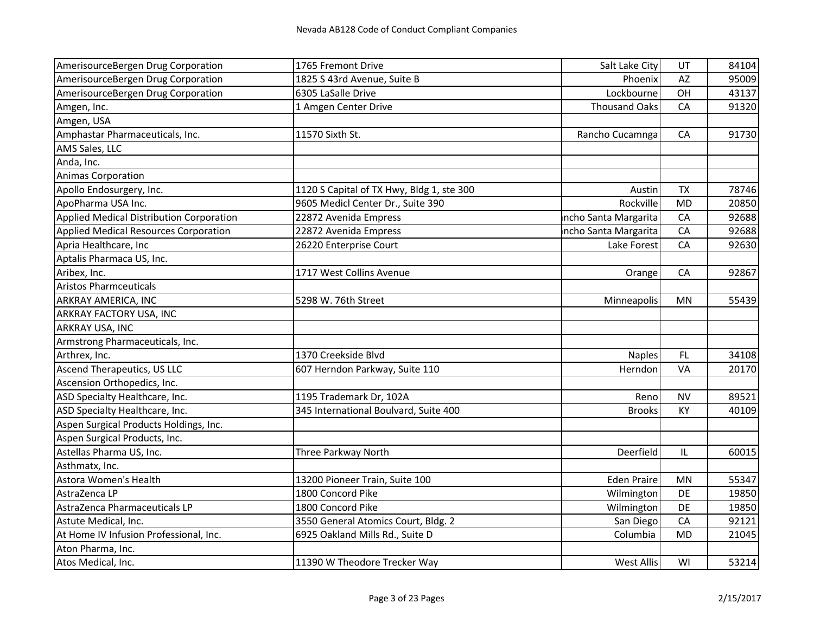| AmerisourceBergen Drug Corporation       | 1765 Fremont Drive                        | Salt Lake City       | UT        | 84104 |
|------------------------------------------|-------------------------------------------|----------------------|-----------|-------|
| AmerisourceBergen Drug Corporation       | 1825 S 43rd Avenue, Suite B               | Phoenix              | AZ        | 95009 |
| AmerisourceBergen Drug Corporation       | 6305 LaSalle Drive                        | Lockbourne           | OH        | 43137 |
| Amgen, Inc.                              | 1 Amgen Center Drive                      | <b>Thousand Oaks</b> | CA        | 91320 |
| Amgen, USA                               |                                           |                      |           |       |
| Amphastar Pharmaceuticals, Inc.          | 11570 Sixth St.                           | Rancho Cucamnga      | CA        | 91730 |
| AMS Sales, LLC                           |                                           |                      |           |       |
| Anda, Inc.                               |                                           |                      |           |       |
| <b>Animas Corporation</b>                |                                           |                      |           |       |
| Apollo Endosurgery, Inc.                 | 1120 S Capital of TX Hwy, Bldg 1, ste 300 | Austin               | <b>TX</b> | 78746 |
| ApoPharma USA Inc.                       | 9605 Medicl Center Dr., Suite 390         | Rockville            | <b>MD</b> | 20850 |
| Applied Medical Distribution Corporation | 22872 Avenida Empress                     | ncho Santa Margarita | CA        | 92688 |
| Applied Medical Resources Corporation    | 22872 Avenida Empress                     | ncho Santa Margarita | CA        | 92688 |
| Apria Healthcare, Inc                    | 26220 Enterprise Court                    | Lake Forest          | CA        | 92630 |
| Aptalis Pharmaca US, Inc.                |                                           |                      |           |       |
| Aribex, Inc.                             | 1717 West Collins Avenue                  | Orange               | CA        | 92867 |
| <b>Aristos Pharmceuticals</b>            |                                           |                      |           |       |
| ARKRAY AMERICA, INC                      | 5298 W. 76th Street                       | Minneapolis          | MN        | 55439 |
| ARKRAY FACTORY USA, INC                  |                                           |                      |           |       |
| ARKRAY USA, INC                          |                                           |                      |           |       |
| Armstrong Pharmaceuticals, Inc.          |                                           |                      |           |       |
| Arthrex, Inc.                            | 1370 Creekside Blvd                       | <b>Naples</b>        | FL.       | 34108 |
| Ascend Therapeutics, US LLC              | 607 Herndon Parkway, Suite 110            | Herndon              | VA        | 20170 |
| Ascension Orthopedics, Inc.              |                                           |                      |           |       |
| ASD Specialty Healthcare, Inc.           | 1195 Trademark Dr, 102A                   | Reno                 | <b>NV</b> | 89521 |
| ASD Specialty Healthcare, Inc.           | 345 International Boulvard, Suite 400     | <b>Brooks</b>        | KY        | 40109 |
| Aspen Surgical Products Holdings, Inc.   |                                           |                      |           |       |
| Aspen Surgical Products, Inc.            |                                           |                      |           |       |
| Astellas Pharma US, Inc.                 | Three Parkway North                       | Deerfield            | IL        | 60015 |
| Asthmatx, Inc.                           |                                           |                      |           |       |
| Astora Women's Health                    | 13200 Pioneer Train, Suite 100            | <b>Eden Praire</b>   | MN        | 55347 |
| AstraZenca LP                            | 1800 Concord Pike                         | Wilmington           | DE        | 19850 |
| AstraZenca Pharmaceuticals LP            | 1800 Concord Pike                         | Wilmington           | DE        | 19850 |
| Astute Medical, Inc.                     | 3550 General Atomics Court, Bldg. 2       | San Diego            | CA        | 92121 |
| At Home IV Infusion Professional, Inc.   | 6925 Oakland Mills Rd., Suite D           | Columbia             | <b>MD</b> | 21045 |
| Aton Pharma, Inc.                        |                                           |                      |           |       |
| Atos Medical, Inc.                       | 11390 W Theodore Trecker Way              | <b>West Allis</b>    | WI        | 53214 |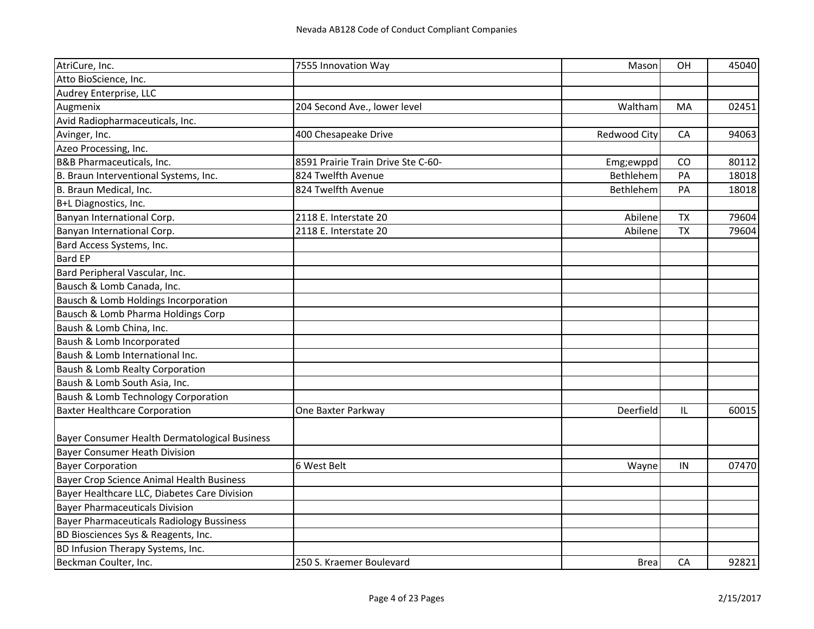| AtriCure, Inc.                                   | 7555 Innovation Way                | Mason        | <b>OH</b> | 45040 |
|--------------------------------------------------|------------------------------------|--------------|-----------|-------|
| Atto BioScience, Inc.                            |                                    |              |           |       |
| Audrey Enterprise, LLC                           |                                    |              |           |       |
| Augmenix                                         | 204 Second Ave., lower level       | Waltham      | MA        | 02451 |
| Avid Radiopharmaceuticals, Inc.                  |                                    |              |           |       |
| Avinger, Inc.                                    | 400 Chesapeake Drive               | Redwood City | CA        | 94063 |
| Azeo Processing, Inc.                            |                                    |              |           |       |
| B&B Pharmaceuticals, Inc.                        | 8591 Prairie Train Drive Ste C-60- | Emg;ewppd    | CO        | 80112 |
| B. Braun Interventional Systems, Inc.            | 824 Twelfth Avenue                 | Bethlehem    | PA        | 18018 |
| B. Braun Medical, Inc.                           | 824 Twelfth Avenue                 | Bethlehem    | PA        | 18018 |
| B+L Diagnostics, Inc.                            |                                    |              |           |       |
| Banyan International Corp.                       | 2118 E. Interstate 20              | Abilene      | <b>TX</b> | 79604 |
| Banyan International Corp.                       | 2118 E. Interstate 20              | Abilene      | <b>TX</b> | 79604 |
| Bard Access Systems, Inc.                        |                                    |              |           |       |
| <b>Bard EP</b>                                   |                                    |              |           |       |
| Bard Peripheral Vascular, Inc.                   |                                    |              |           |       |
| Bausch & Lomb Canada, Inc.                       |                                    |              |           |       |
| Bausch & Lomb Holdings Incorporation             |                                    |              |           |       |
| Bausch & Lomb Pharma Holdings Corp               |                                    |              |           |       |
| Baush & Lomb China, Inc.                         |                                    |              |           |       |
| Baush & Lomb Incorporated                        |                                    |              |           |       |
| Baush & Lomb International Inc.                  |                                    |              |           |       |
| Baush & Lomb Realty Corporation                  |                                    |              |           |       |
| Baush & Lomb South Asia, Inc.                    |                                    |              |           |       |
| Baush & Lomb Technology Corporation              |                                    |              |           |       |
| <b>Baxter Healthcare Corporation</b>             | One Baxter Parkway                 | Deerfield    | L         | 60015 |
|                                                  |                                    |              |           |       |
| Bayer Consumer Health Dermatological Business    |                                    |              |           |       |
| <b>Bayer Consumer Heath Division</b>             |                                    |              |           |       |
| <b>Bayer Corporation</b>                         | 6 West Belt                        | Wayne        | IN        | 07470 |
| <b>Bayer Crop Science Animal Health Business</b> |                                    |              |           |       |
| Bayer Healthcare LLC, Diabetes Care Division     |                                    |              |           |       |
| <b>Bayer Pharmaceuticals Division</b>            |                                    |              |           |       |
| <b>Bayer Pharmaceuticals Radiology Bussiness</b> |                                    |              |           |       |
| BD Biosciences Sys & Reagents, Inc.              |                                    |              |           |       |
| BD Infusion Therapy Systems, Inc.                |                                    |              |           |       |
| Beckman Coulter, Inc.                            | 250 S. Kraemer Boulevard           | <b>Brea</b>  | CA        | 92821 |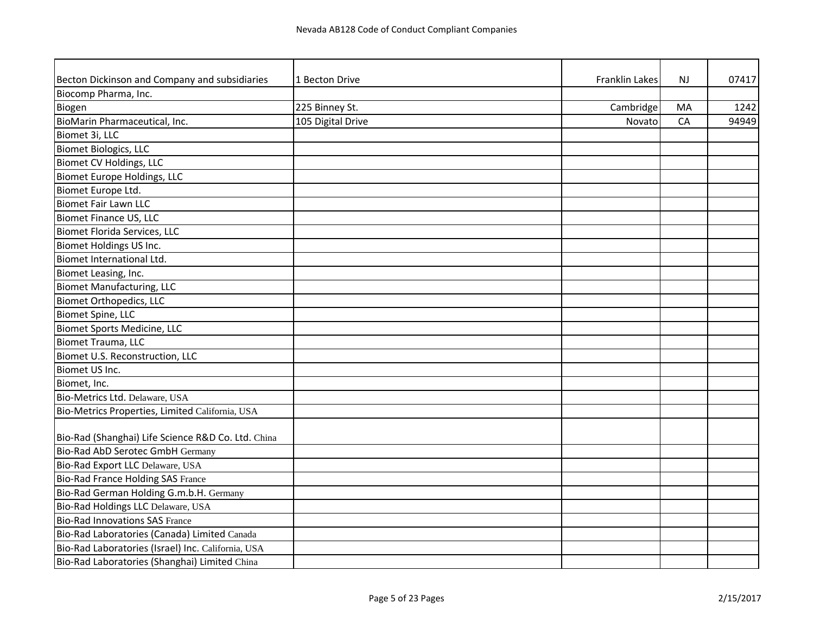| Becton Dickinson and Company and subsidiaries      | 1 Becton Drive    | <b>Franklin Lakes</b> | <b>NJ</b> | 07417 |
|----------------------------------------------------|-------------------|-----------------------|-----------|-------|
| Biocomp Pharma, Inc.                               |                   |                       |           |       |
| Biogen                                             | 225 Binney St.    | Cambridge             | MA        | 1242  |
| BioMarin Pharmaceutical, Inc.                      | 105 Digital Drive | Novato                | CA        | 94949 |
| Biomet 3i, LLC                                     |                   |                       |           |       |
| <b>Biomet Biologics, LLC</b>                       |                   |                       |           |       |
| Biomet CV Holdings, LLC                            |                   |                       |           |       |
| Biomet Europe Holdings, LLC                        |                   |                       |           |       |
| Biomet Europe Ltd.                                 |                   |                       |           |       |
| <b>Biomet Fair Lawn LLC</b>                        |                   |                       |           |       |
| <b>Biomet Finance US, LLC</b>                      |                   |                       |           |       |
| <b>Biomet Florida Services, LLC</b>                |                   |                       |           |       |
| Biomet Holdings US Inc.                            |                   |                       |           |       |
| Biomet International Ltd.                          |                   |                       |           |       |
| Biomet Leasing, Inc.                               |                   |                       |           |       |
| <b>Biomet Manufacturing, LLC</b>                   |                   |                       |           |       |
| <b>Biomet Orthopedics, LLC</b>                     |                   |                       |           |       |
| Biomet Spine, LLC                                  |                   |                       |           |       |
| <b>Biomet Sports Medicine, LLC</b>                 |                   |                       |           |       |
| Biomet Trauma, LLC                                 |                   |                       |           |       |
| Biomet U.S. Reconstruction, LLC                    |                   |                       |           |       |
| Biomet US Inc.                                     |                   |                       |           |       |
| Biomet, Inc.                                       |                   |                       |           |       |
| Bio-Metrics Ltd. Delaware, USA                     |                   |                       |           |       |
| Bio-Metrics Properties, Limited California, USA    |                   |                       |           |       |
|                                                    |                   |                       |           |       |
| Bio-Rad (Shanghai) Life Science R&D Co. Ltd. China |                   |                       |           |       |
| <b>Bio-Rad AbD Serotec GmbH Germany</b>            |                   |                       |           |       |
| Bio-Rad Export LLC Delaware, USA                   |                   |                       |           |       |
| <b>Bio-Rad France Holding SAS France</b>           |                   |                       |           |       |
| Bio-Rad German Holding G.m.b.H. Germany            |                   |                       |           |       |
| Bio-Rad Holdings LLC Delaware, USA                 |                   |                       |           |       |
| <b>Bio-Rad Innovations SAS France</b>              |                   |                       |           |       |
| Bio-Rad Laboratories (Canada) Limited Canada       |                   |                       |           |       |
| Bio-Rad Laboratories (Israel) Inc. California, USA |                   |                       |           |       |
| Bio-Rad Laboratories (Shanghai) Limited China      |                   |                       |           |       |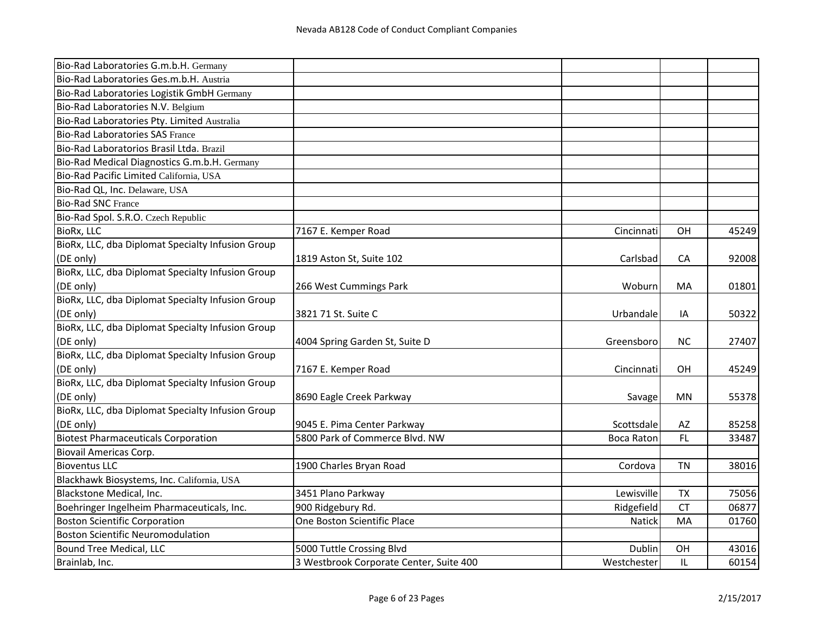| Bio-Rad Laboratories G.m.b.H. Germany             |                                         |                   |           |       |
|---------------------------------------------------|-----------------------------------------|-------------------|-----------|-------|
| Bio-Rad Laboratories Ges.m.b.H. Austria           |                                         |                   |           |       |
| Bio-Rad Laboratories Logistik GmbH Germany        |                                         |                   |           |       |
| Bio-Rad Laboratories N.V. Belgium                 |                                         |                   |           |       |
| Bio-Rad Laboratories Pty. Limited Australia       |                                         |                   |           |       |
| <b>Bio-Rad Laboratories SAS France</b>            |                                         |                   |           |       |
| Bio-Rad Laboratorios Brasil Ltda. Brazil          |                                         |                   |           |       |
| Bio-Rad Medical Diagnostics G.m.b.H. Germany      |                                         |                   |           |       |
| Bio-Rad Pacific Limited California, USA           |                                         |                   |           |       |
| Bio-Rad QL, Inc. Delaware, USA                    |                                         |                   |           |       |
| <b>Bio-Rad SNC France</b>                         |                                         |                   |           |       |
| Bio-Rad Spol. S.R.O. Czech Republic               |                                         |                   |           |       |
| BioRx, LLC                                        | 7167 E. Kemper Road                     | Cincinnati        | OH        | 45249 |
| BioRx, LLC, dba Diplomat Specialty Infusion Group |                                         |                   |           |       |
| (DE only)                                         | 1819 Aston St, Suite 102                | Carlsbad          | CA        | 92008 |
| BioRx, LLC, dba Diplomat Specialty Infusion Group |                                         |                   |           |       |
| (DE only)                                         | 266 West Cummings Park                  | Woburn            | MA        | 01801 |
| BioRx, LLC, dba Diplomat Specialty Infusion Group |                                         |                   |           |       |
| (DE only)                                         | 3821 71 St. Suite C                     | Urbandale         | IA        | 50322 |
| BioRx, LLC, dba Diplomat Specialty Infusion Group |                                         |                   |           |       |
| (DE only)                                         | 4004 Spring Garden St, Suite D          | Greensboro        | <b>NC</b> | 27407 |
| BioRx, LLC, dba Diplomat Specialty Infusion Group |                                         |                   |           |       |
| (DE only)                                         | 7167 E. Kemper Road                     | Cincinnati        | OН        | 45249 |
| BioRx, LLC, dba Diplomat Specialty Infusion Group |                                         |                   |           |       |
| (DE only)                                         | 8690 Eagle Creek Parkway                | Savage            | MN        | 55378 |
| BioRx, LLC, dba Diplomat Specialty Infusion Group |                                         |                   |           |       |
| (DE only)                                         | 9045 E. Pima Center Parkway             | Scottsdale        | AZ        | 85258 |
| <b>Biotest Pharmaceuticals Corporation</b>        | 5800 Park of Commerce Blvd. NW          | <b>Boca Raton</b> | FL        | 33487 |
| <b>Biovail Americas Corp.</b>                     |                                         |                   |           |       |
| <b>Bioventus LLC</b>                              | 1900 Charles Bryan Road                 | Cordova           | <b>TN</b> | 38016 |
| Blackhawk Biosystems, Inc. California, USA        |                                         |                   |           |       |
| Blackstone Medical, Inc.                          | 3451 Plano Parkway                      | Lewisville        | <b>TX</b> | 75056 |
| Boehringer Ingelheim Pharmaceuticals, Inc.        | 900 Ridgebury Rd.                       | Ridgefield        | <b>CT</b> | 06877 |
| <b>Boston Scientific Corporation</b>              | One Boston Scientific Place             | Natick            | MA        | 01760 |
| Boston Scientific Neuromodulation                 |                                         |                   |           |       |
| <b>Bound Tree Medical, LLC</b>                    | 5000 Tuttle Crossing Blvd               | Dublin            | OH        | 43016 |
| Brainlab, Inc.                                    | 3 Westbrook Corporate Center, Suite 400 | Westchester       | IL        | 60154 |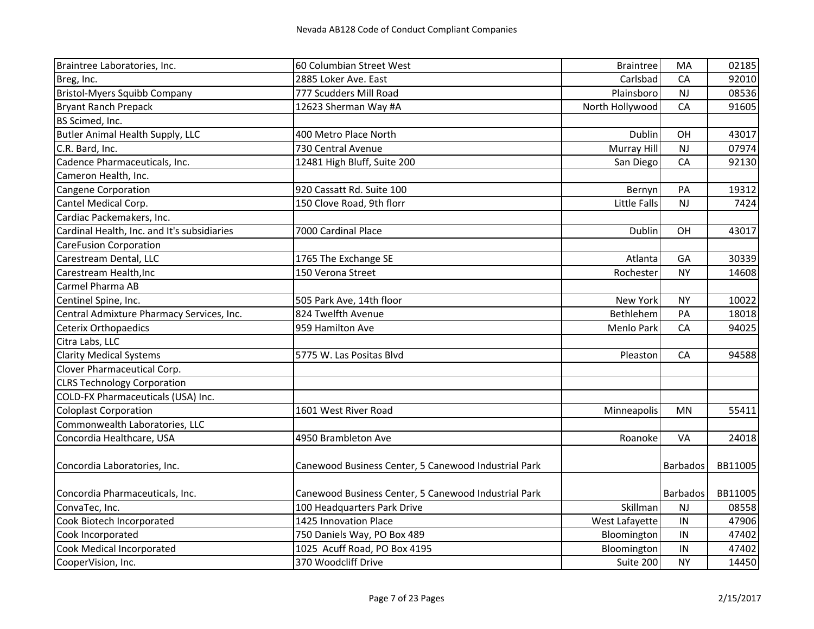| Braintree Laboratories, Inc.                | 60 Columbian Street West                             | <b>Braintree</b>    | MA              | 02185   |
|---------------------------------------------|------------------------------------------------------|---------------------|-----------------|---------|
| Breg, Inc.                                  | 2885 Loker Ave. East                                 | Carlsbad            | CA              | 92010   |
| <b>Bristol-Myers Squibb Company</b>         | 777 Scudders Mill Road                               | Plainsboro          | <b>NJ</b>       | 08536   |
| <b>Bryant Ranch Prepack</b>                 | 12623 Sherman Way #A                                 | North Hollywood     | CA              | 91605   |
| BS Scimed, Inc.                             |                                                      |                     |                 |         |
| <b>Butler Animal Health Supply, LLC</b>     | 400 Metro Place North                                | Dublin              | OH              | 43017   |
| C.R. Bard, Inc.                             | 730 Central Avenue                                   | Murray Hill         | NJ              | 07974   |
| Cadence Pharmaceuticals, Inc.               | 12481 High Bluff, Suite 200                          | San Diego           | CA              | 92130   |
| Cameron Health, Inc.                        |                                                      |                     |                 |         |
| <b>Cangene Corporation</b>                  | 920 Cassatt Rd. Suite 100                            | Bernyn              | PA              | 19312   |
| Cantel Medical Corp.                        | 150 Clove Road, 9th florr                            | <b>Little Falls</b> | NJ              | 7424    |
| Cardiac Packemakers, Inc.                   |                                                      |                     |                 |         |
| Cardinal Health, Inc. and It's subsidiaries | 7000 Cardinal Place                                  | Dublin              | OH              | 43017   |
| <b>CareFusion Corporation</b>               |                                                      |                     |                 |         |
| Carestream Dental, LLC                      | 1765 The Exchange SE                                 | Atlanta             | GA              | 30339   |
| Carestream Health, Inc                      | 150 Verona Street                                    | Rochester           | <b>NY</b>       | 14608   |
| Carmel Pharma AB                            |                                                      |                     |                 |         |
| Centinel Spine, Inc.                        | 505 Park Ave, 14th floor                             | New York            | <b>NY</b>       | 10022   |
| Central Admixture Pharmacy Services, Inc.   | 824 Twelfth Avenue                                   | Bethlehem           | PA              | 18018   |
| <b>Ceterix Orthopaedics</b>                 | 959 Hamilton Ave                                     | Menlo Park          | CA              | 94025   |
| Citra Labs, LLC                             |                                                      |                     |                 |         |
| <b>Clarity Medical Systems</b>              | 5775 W. Las Positas Blvd                             | Pleaston            | CA              | 94588   |
| Clover Pharmaceutical Corp.                 |                                                      |                     |                 |         |
| <b>CLRS Technology Corporation</b>          |                                                      |                     |                 |         |
| COLD-FX Pharmaceuticals (USA) Inc.          |                                                      |                     |                 |         |
| <b>Coloplast Corporation</b>                | 1601 West River Road                                 | Minneapolis         | MN              | 55411   |
| Commonwealth Laboratories, LLC              |                                                      |                     |                 |         |
| Concordia Healthcare, USA                   | 4950 Brambleton Ave                                  | Roanoke             | VA              | 24018   |
| Concordia Laboratories, Inc.                | Canewood Business Center, 5 Canewood Industrial Park |                     | <b>Barbados</b> | BB11005 |
|                                             |                                                      |                     |                 |         |
| Concordia Pharmaceuticals, Inc.             | Canewood Business Center, 5 Canewood Industrial Park |                     | Barbados        | BB11005 |
| ConvaTec, Inc.                              | 100 Headquarters Park Drive                          | Skillman            | NJ              | 08558   |
| Cook Biotech Incorporated                   | 1425 Innovation Place                                | West Lafayette      | IN              | 47906   |
| Cook Incorporated                           | 750 Daniels Way, PO Box 489                          | Bloomington         | IN              | 47402   |
| Cook Medical Incorporated                   | 1025 Acuff Road, PO Box 4195                         | Bloomington         | IN              | 47402   |
| CooperVision, Inc.                          | 370 Woodcliff Drive                                  | Suite 200           | <b>NY</b>       | 14450   |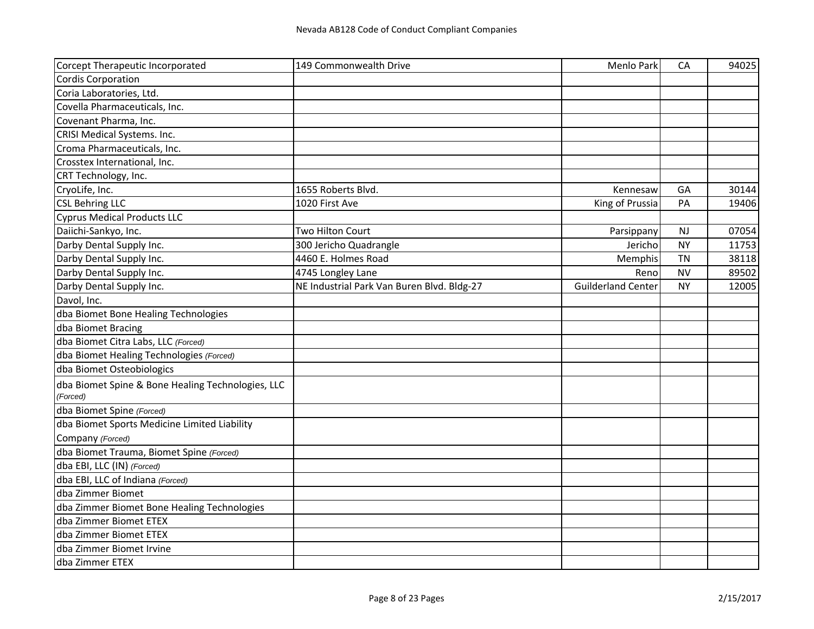| Corcept Therapeutic Incorporated                              | 149 Commonwealth Drive                     | Menlo Park                | CA        | 94025 |
|---------------------------------------------------------------|--------------------------------------------|---------------------------|-----------|-------|
| <b>Cordis Corporation</b>                                     |                                            |                           |           |       |
| Coria Laboratories, Ltd.                                      |                                            |                           |           |       |
| Covella Pharmaceuticals, Inc.                                 |                                            |                           |           |       |
| Covenant Pharma, Inc.                                         |                                            |                           |           |       |
| CRISI Medical Systems. Inc.                                   |                                            |                           |           |       |
| Croma Pharmaceuticals, Inc.                                   |                                            |                           |           |       |
| Crosstex International, Inc.                                  |                                            |                           |           |       |
| CRT Technology, Inc.                                          |                                            |                           |           |       |
| CryoLife, Inc.                                                | 1655 Roberts Blvd.                         | Kennesaw                  | GA        | 30144 |
| <b>CSL Behring LLC</b>                                        | 1020 First Ave                             | King of Prussia           | PA        | 19406 |
| <b>Cyprus Medical Products LLC</b>                            |                                            |                           |           |       |
| Daiichi-Sankyo, Inc.                                          | Two Hilton Court                           | Parsippany                | <b>NJ</b> | 07054 |
| Darby Dental Supply Inc.                                      | 300 Jericho Quadrangle                     | Jericho                   | <b>NY</b> | 11753 |
| Darby Dental Supply Inc.                                      | 4460 E. Holmes Road                        | Memphis                   | <b>TN</b> | 38118 |
| Darby Dental Supply Inc.                                      | 4745 Longley Lane                          | Reno                      | <b>NV</b> | 89502 |
| Darby Dental Supply Inc.                                      | NE Industrial Park Van Buren Blvd. Bldg-27 | <b>Guilderland Center</b> | NY.       | 12005 |
| Davol, Inc.                                                   |                                            |                           |           |       |
| dba Biomet Bone Healing Technologies                          |                                            |                           |           |       |
| dba Biomet Bracing                                            |                                            |                           |           |       |
| dba Biomet Citra Labs, LLC (Forced)                           |                                            |                           |           |       |
| dba Biomet Healing Technologies (Forced)                      |                                            |                           |           |       |
| dba Biomet Osteobiologics                                     |                                            |                           |           |       |
| dba Biomet Spine & Bone Healing Technologies, LLC<br>(Forced) |                                            |                           |           |       |
| dba Biomet Spine (Forced)                                     |                                            |                           |           |       |
| dba Biomet Sports Medicine Limited Liability                  |                                            |                           |           |       |
| Company (Forced)                                              |                                            |                           |           |       |
| dba Biomet Trauma, Biomet Spine (Forced)                      |                                            |                           |           |       |
| dba EBI, LLC (IN) (Forced)                                    |                                            |                           |           |       |
| dba EBI, LLC of Indiana (Forced)                              |                                            |                           |           |       |
| dba Zimmer Biomet                                             |                                            |                           |           |       |
| dba Zimmer Biomet Bone Healing Technologies                   |                                            |                           |           |       |
| dba Zimmer Biomet ETEX                                        |                                            |                           |           |       |
| dba Zimmer Biomet ETEX                                        |                                            |                           |           |       |
| dba Zimmer Biomet Irvine                                      |                                            |                           |           |       |
| dba Zimmer ETEX                                               |                                            |                           |           |       |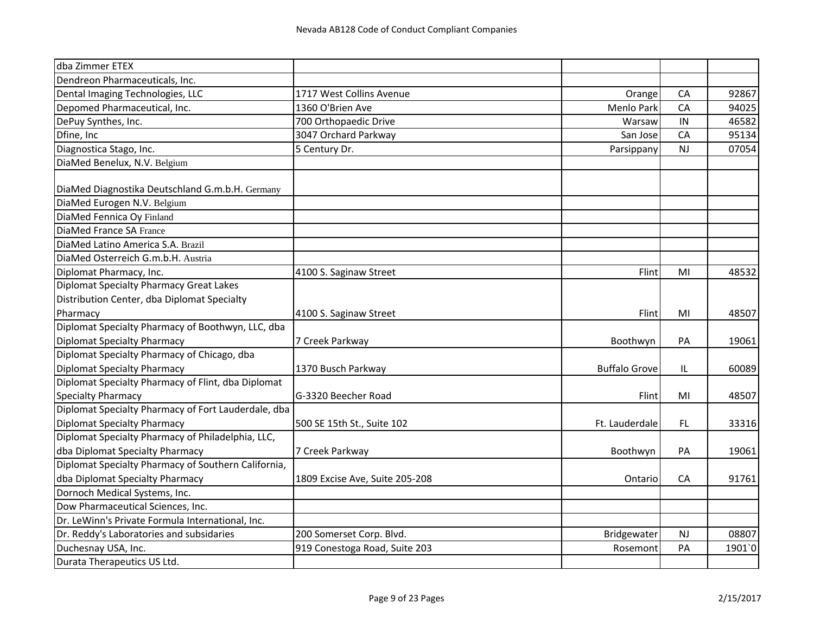| dba Zimmer ETEX                                     |                                |                      |           |        |
|-----------------------------------------------------|--------------------------------|----------------------|-----------|--------|
| Dendreon Pharmaceuticals, Inc.                      |                                |                      |           |        |
| Dental Imaging Technologies, LLC                    | 1717 West Collins Avenue       | Orange               | CA        | 92867  |
| Depomed Pharmaceutical, Inc.                        | 1360 O'Brien Ave               | Menlo Park           | CA        | 94025  |
| DePuy Synthes, Inc.                                 | 700 Orthopaedic Drive          | Warsaw               | IN        | 46582  |
| Dfine, Inc                                          | 3047 Orchard Parkway           | San Jose             | CA        | 95134  |
| Diagnostica Stago, Inc.                             | 5 Century Dr.                  | Parsippany           | <b>NJ</b> | 07054  |
| DiaMed Benelux, N.V. Belgium                        |                                |                      |           |        |
| DiaMed Diagnostika Deutschland G.m.b.H. Germany     |                                |                      |           |        |
| DiaMed Eurogen N.V. Belgium                         |                                |                      |           |        |
| DiaMed Fennica Oy Finland                           |                                |                      |           |        |
| DiaMed France SA France                             |                                |                      |           |        |
| DiaMed Latino America S.A. Brazil                   |                                |                      |           |        |
| DiaMed Osterreich G.m.b.H. Austria                  |                                |                      |           |        |
| Diplomat Pharmacy, Inc.                             | 4100 S. Saginaw Street         | Flint                | MI        | 48532  |
| <b>Diplomat Specialty Pharmacy Great Lakes</b>      |                                |                      |           |        |
| Distribution Center, dba Diplomat Specialty         |                                |                      |           |        |
| Pharmacy                                            | 4100 S. Saginaw Street         | Flint                | MI        | 48507  |
| Diplomat Specialty Pharmacy of Boothwyn, LLC, dba   |                                |                      |           |        |
| <b>Diplomat Specialty Pharmacy</b>                  | 7 Creek Parkway                | Boothwyn             | PA        | 19061  |
| Diplomat Specialty Pharmacy of Chicago, dba         |                                |                      |           |        |
| <b>Diplomat Specialty Pharmacy</b>                  | 1370 Busch Parkway             | <b>Buffalo Grove</b> | IL        | 60089  |
| Diplomat Specialty Pharmacy of Flint, dba Diplomat  |                                |                      |           |        |
| <b>Specialty Pharmacy</b>                           | G-3320 Beecher Road            | Flint                | MI        | 48507  |
| Diplomat Specialty Pharmacy of Fort Lauderdale, dba |                                |                      |           |        |
| <b>Diplomat Specialty Pharmacy</b>                  | 500 SE 15th St., Suite 102     | Ft. Lauderdale       | FL.       | 33316  |
| Diplomat Specialty Pharmacy of Philadelphia, LLC,   |                                |                      |           |        |
| dba Diplomat Specialty Pharmacy                     | 7 Creek Parkway                | Boothwyn             | PA        | 19061  |
| Diplomat Specialty Pharmacy of Southern California, |                                |                      |           |        |
| dba Diplomat Specialty Pharmacy                     | 1809 Excise Ave, Suite 205-208 | Ontario              | CA        | 91761  |
| Dornoch Medical Systems, Inc.                       |                                |                      |           |        |
| Dow Pharmaceutical Sciences, Inc.                   |                                |                      |           |        |
| Dr. LeWinn's Private Formula International, Inc.    |                                |                      |           |        |
| Dr. Reddy's Laboratories and subsidaries            | 200 Somerset Corp. Blvd.       | Bridgewater          | <b>NJ</b> | 08807  |
| Duchesnay USA, Inc.                                 | 919 Conestoga Road, Suite 203  | Rosemont             | PA        | 1901`0 |
| Durata Therapeutics US Ltd.                         |                                |                      |           |        |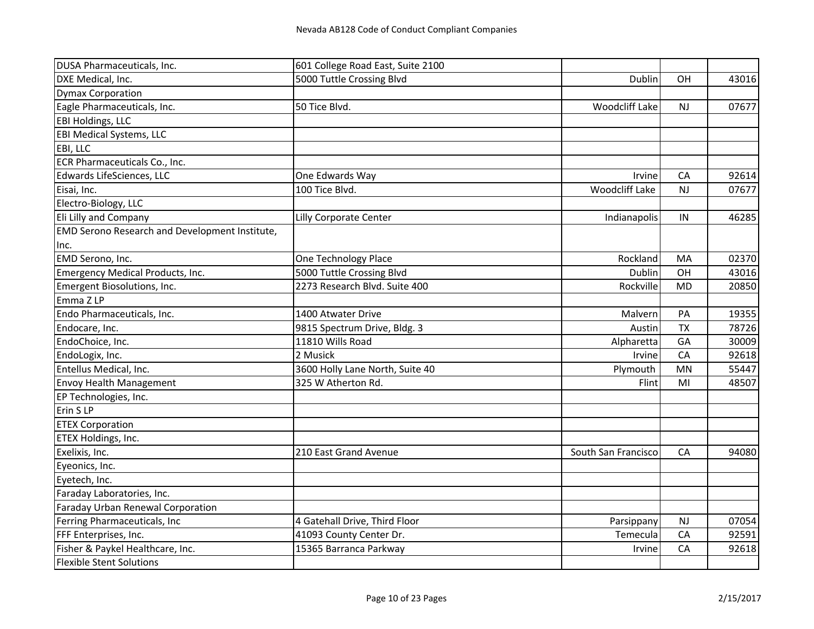| DUSA Pharmaceuticals, Inc.                            | 601 College Road East, Suite 2100 |                       |           |       |
|-------------------------------------------------------|-----------------------------------|-----------------------|-----------|-------|
| DXE Medical, Inc.                                     | 5000 Tuttle Crossing Blvd         | Dublin                | <b>OH</b> | 43016 |
| <b>Dymax Corporation</b>                              |                                   |                       |           |       |
| Eagle Pharmaceuticals, Inc.                           | 50 Tice Blvd.                     | Woodcliff Lake        | NJ        | 07677 |
| <b>EBI Holdings, LLC</b>                              |                                   |                       |           |       |
| <b>EBI Medical Systems, LLC</b>                       |                                   |                       |           |       |
| EBI, LLC                                              |                                   |                       |           |       |
| ECR Pharmaceuticals Co., Inc.                         |                                   |                       |           |       |
| Edwards LifeSciences, LLC                             | One Edwards Way                   | Irvine                | CA        | 92614 |
| Eisai, Inc.                                           | 100 Tice Blvd.                    | <b>Woodcliff Lake</b> | <b>NJ</b> | 07677 |
| Electro-Biology, LLC                                  |                                   |                       |           |       |
| Eli Lilly and Company                                 | Lilly Corporate Center            | Indianapolis          | IN        | 46285 |
| <b>EMD Serono Research and Development Institute,</b> |                                   |                       |           |       |
| Inc.                                                  |                                   |                       |           |       |
| EMD Serono, Inc.                                      | One Technology Place              | Rockland              | MA        | 02370 |
| Emergency Medical Products, Inc.                      | 5000 Tuttle Crossing Blvd         | Dublin                | OH        | 43016 |
| Emergent Biosolutions, Inc.                           | 2273 Research Blvd. Suite 400     | Rockville             | <b>MD</b> | 20850 |
| Emma Z LP                                             |                                   |                       |           |       |
| Endo Pharmaceuticals, Inc.                            | 1400 Atwater Drive                | Malvern               | PA        | 19355 |
| Endocare, Inc.                                        | 9815 Spectrum Drive, Bldg. 3      | Austin                | <b>TX</b> | 78726 |
| EndoChoice, Inc.                                      | 11810 Wills Road                  | Alpharetta            | GA        | 30009 |
| EndoLogix, Inc.                                       | 2 Musick                          | Irvine                | CA        | 92618 |
| Entellus Medical, Inc.                                | 3600 Holly Lane North, Suite 40   | Plymouth              | MN        | 55447 |
| <b>Envoy Health Management</b>                        | 325 W Atherton Rd.                | Flint                 | MI        | 48507 |
| EP Technologies, Inc.                                 |                                   |                       |           |       |
| Erin SLP                                              |                                   |                       |           |       |
| <b>ETEX Corporation</b>                               |                                   |                       |           |       |
| ETEX Holdings, Inc.                                   |                                   |                       |           |       |
| Exelixis, Inc.                                        | 210 East Grand Avenue             | South San Francisco   | CA        | 94080 |
| Eyeonics, Inc.                                        |                                   |                       |           |       |
| Eyetech, Inc.                                         |                                   |                       |           |       |
| Faraday Laboratories, Inc.                            |                                   |                       |           |       |
| Faraday Urban Renewal Corporation                     |                                   |                       |           |       |
| Ferring Pharmaceuticals, Inc                          | 4 Gatehall Drive, Third Floor     | Parsippany            | NJ        | 07054 |
| FFF Enterprises, Inc.                                 | 41093 County Center Dr.           | Temecula              | CA        | 92591 |
| Fisher & Paykel Healthcare, Inc.                      | 15365 Barranca Parkway            | Irvine                | CA        | 92618 |
| <b>Flexible Stent Solutions</b>                       |                                   |                       |           |       |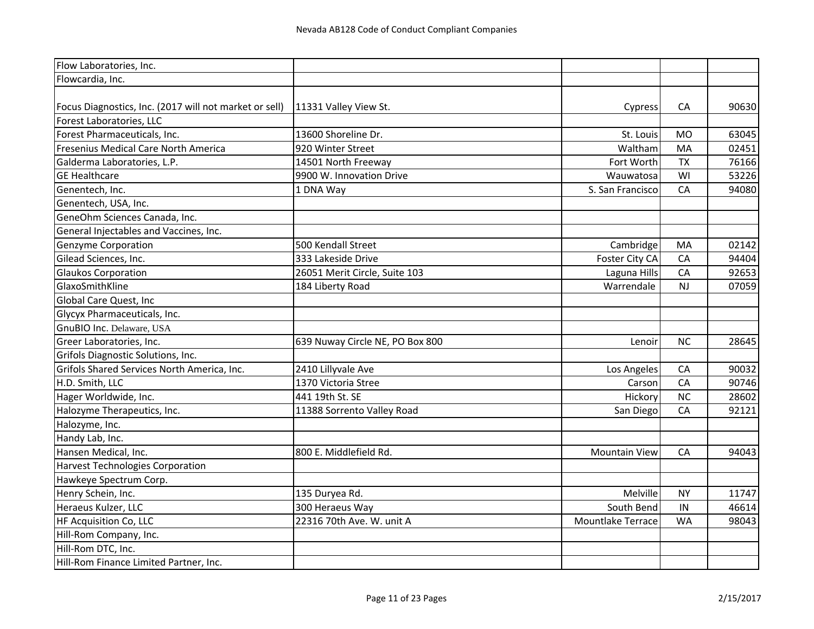| Flow Laboratories, Inc.                                |                                 |                      |           |       |
|--------------------------------------------------------|---------------------------------|----------------------|-----------|-------|
| Flowcardia, Inc.                                       |                                 |                      |           |       |
| Focus Diagnostics, Inc. (2017 will not market or sell) | 11331 Valley View St.           | Cypress              | CA        | 90630 |
| Forest Laboratories, LLC                               |                                 |                      |           |       |
| Forest Pharmaceuticals, Inc.                           | 13600 Shoreline Dr.             | St. Louis            | <b>MO</b> | 63045 |
| Fresenius Medical Care North America                   | 920 Winter Street               | Waltham              | MA        | 02451 |
| Galderma Laboratories, L.P.                            | 14501 North Freeway             | Fort Worth           | <b>TX</b> | 76166 |
| <b>GE Healthcare</b>                                   | 9900 W. Innovation Drive        | Wauwatosa            | WI        | 53226 |
| Genentech, Inc.                                        | 1 DNA Way                       | S. San Francisco     | CA        | 94080 |
| Genentech, USA, Inc.                                   |                                 |                      |           |       |
| GeneOhm Sciences Canada, Inc.                          |                                 |                      |           |       |
| General Injectables and Vaccines, Inc.                 |                                 |                      |           |       |
| Genzyme Corporation                                    | 500 Kendall Street              | Cambridge            | MA        | 02142 |
| Gilead Sciences, Inc.                                  | 333 Lakeside Drive              | Foster City CA       | CA        | 94404 |
| <b>Glaukos Corporation</b>                             | 26051 Merit Circle, Suite 103   | Laguna Hills         | CA        | 92653 |
| GlaxoSmithKline                                        | 184 Liberty Road                | Warrendale           | NJ        | 07059 |
| Global Care Quest, Inc                                 |                                 |                      |           |       |
| Glycyx Pharmaceuticals, Inc.                           |                                 |                      |           |       |
| GnuBIO Inc. Delaware, USA                              |                                 |                      |           |       |
| Greer Laboratories, Inc.                               | 639 Nuway Circle NE, PO Box 800 | Lenoir               | <b>NC</b> | 28645 |
| Grifols Diagnostic Solutions, Inc.                     |                                 |                      |           |       |
| Grifols Shared Services North America, Inc.            | 2410 Lillyvale Ave              | Los Angeles          | CA        | 90032 |
| H.D. Smith, LLC                                        | 1370 Victoria Stree             | Carson               | CA        | 90746 |
| Hager Worldwide, Inc.                                  | 441 19th St. SE                 | Hickory              | <b>NC</b> | 28602 |
| Halozyme Therapeutics, Inc.                            | 11388 Sorrento Valley Road      | San Diego            | CA        | 92121 |
| Halozyme, Inc.                                         |                                 |                      |           |       |
| Handy Lab, Inc.                                        |                                 |                      |           |       |
| Hansen Medical, Inc.                                   | 800 E. Middlefield Rd.          | <b>Mountain View</b> | CA        | 94043 |
| <b>Harvest Technologies Corporation</b>                |                                 |                      |           |       |
| Hawkeye Spectrum Corp.                                 |                                 |                      |           |       |
| Henry Schein, Inc.                                     | 135 Duryea Rd.                  | Melville             | <b>NY</b> | 11747 |
| Heraeus Kulzer, LLC                                    | 300 Heraeus Way                 | South Bend           | IN        | 46614 |
| HF Acquisition Co, LLC                                 | 22316 70th Ave. W. unit A       | Mountlake Terrace    | WA        | 98043 |
| Hill-Rom Company, Inc.                                 |                                 |                      |           |       |
| Hill-Rom DTC, Inc.                                     |                                 |                      |           |       |
| Hill-Rom Finance Limited Partner, Inc.                 |                                 |                      |           |       |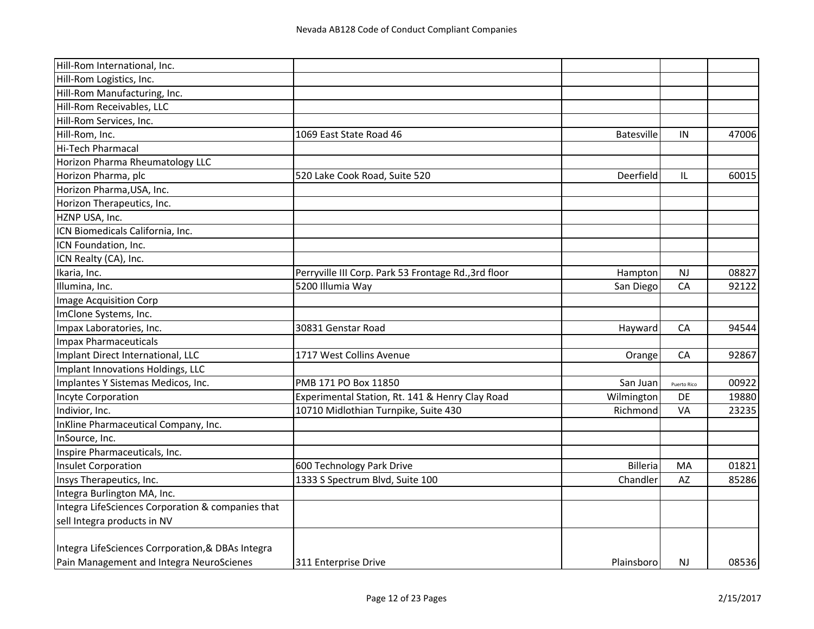| Hill-Rom International, Inc.                      |                                                      |                   |             |       |
|---------------------------------------------------|------------------------------------------------------|-------------------|-------------|-------|
| Hill-Rom Logistics, Inc.                          |                                                      |                   |             |       |
| Hill-Rom Manufacturing, Inc.                      |                                                      |                   |             |       |
| Hill-Rom Receivables, LLC                         |                                                      |                   |             |       |
| Hill-Rom Services, Inc.                           |                                                      |                   |             |       |
| Hill-Rom, Inc.                                    | 1069 East State Road 46                              | <b>Batesville</b> | IN          | 47006 |
| Hi-Tech Pharmacal                                 |                                                      |                   |             |       |
| Horizon Pharma Rheumatology LLC                   |                                                      |                   |             |       |
| Horizon Pharma, plc                               | 520 Lake Cook Road, Suite 520                        | Deerfield         | IL          | 60015 |
| Horizon Pharma, USA, Inc.                         |                                                      |                   |             |       |
| Horizon Therapeutics, Inc.                        |                                                      |                   |             |       |
| HZNP USA, Inc.                                    |                                                      |                   |             |       |
| ICN Biomedicals California, Inc.                  |                                                      |                   |             |       |
| ICN Foundation, Inc.                              |                                                      |                   |             |       |
| ICN Realty (CA), Inc.                             |                                                      |                   |             |       |
| Ikaria, Inc.                                      | Perryville III Corp. Park 53 Frontage Rd., 3rd floor | Hampton           | <b>NJ</b>   | 08827 |
| Illumina, Inc.                                    | 5200 Illumia Way                                     | San Diego         | CA          | 92122 |
| <b>Image Acquisition Corp</b>                     |                                                      |                   |             |       |
| ImClone Systems, Inc.                             |                                                      |                   |             |       |
| Impax Laboratories, Inc.                          | 30831 Genstar Road                                   | Hayward           | CA          | 94544 |
| <b>Impax Pharmaceuticals</b>                      |                                                      |                   |             |       |
| Implant Direct International, LLC                 | 1717 West Collins Avenue                             | Orange            | CA          | 92867 |
| Implant Innovations Holdings, LLC                 |                                                      |                   |             |       |
| Implantes Y Sistemas Medicos, Inc.                | PMB 171 PO Box 11850                                 | San Juan          | Puerto Rico | 00922 |
| <b>Incyte Corporation</b>                         | Experimental Station, Rt. 141 & Henry Clay Road      | Wilmington        | DE          | 19880 |
| Indivior, Inc.                                    | 10710 Midlothian Turnpike, Suite 430                 | Richmond          | VA          | 23235 |
| InKline Pharmaceutical Company, Inc.              |                                                      |                   |             |       |
| InSource, Inc.                                    |                                                      |                   |             |       |
| Inspire Pharmaceuticals, Inc.                     |                                                      |                   |             |       |
| <b>Insulet Corporation</b>                        | 600 Technology Park Drive                            | <b>Billeria</b>   | MA          | 01821 |
| Insys Therapeutics, Inc.                          | 1333 S Spectrum Blvd, Suite 100                      | Chandler          | AZ          | 85286 |
| Integra Burlington MA, Inc.                       |                                                      |                   |             |       |
| Integra LifeSciences Corporation & companies that |                                                      |                   |             |       |
| sell Integra products in NV                       |                                                      |                   |             |       |
| Integra LifeSciences Corrporation, & DBAs Integra |                                                      |                   |             |       |
| Pain Management and Integra NeuroScienes          | 311 Enterprise Drive                                 | Plainsboro        | NJ.         | 08536 |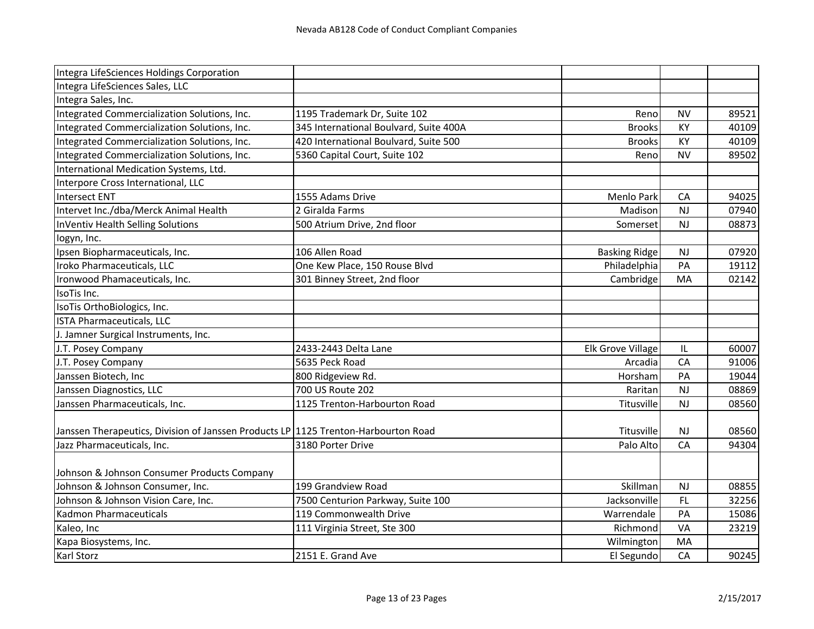| Integra LifeSciences Holdings Corporation                                          |                                        |                      |           |       |
|------------------------------------------------------------------------------------|----------------------------------------|----------------------|-----------|-------|
| Integra LifeSciences Sales, LLC                                                    |                                        |                      |           |       |
| Integra Sales, Inc.                                                                |                                        |                      |           |       |
| Integrated Commercialization Solutions, Inc.                                       | 1195 Trademark Dr, Suite 102           | Reno                 | <b>NV</b> | 89521 |
| Integrated Commercialization Solutions, Inc.                                       | 345 International Boulvard, Suite 400A | <b>Brooks</b>        | KY        | 40109 |
| Integrated Commercialization Solutions, Inc.                                       | 420 International Boulvard, Suite 500  | <b>Brooks</b>        | KY        | 40109 |
| Integrated Commercialization Solutions, Inc.                                       | 5360 Capital Court, Suite 102          | Reno                 | <b>NV</b> | 89502 |
| International Medication Systems, Ltd.                                             |                                        |                      |           |       |
| Interpore Cross International, LLC                                                 |                                        |                      |           |       |
| <b>Intersect ENT</b>                                                               | 1555 Adams Drive                       | Menlo Park           | CA        | 94025 |
| Intervet Inc./dba/Merck Animal Health                                              | 2 Giralda Farms                        | Madison              | NJ        | 07940 |
| InVentiv Health Selling Solutions                                                  | 500 Atrium Drive, 2nd floor            | Somerset             | NJ        | 08873 |
| logyn, Inc.                                                                        |                                        |                      |           |       |
| Ipsen Biopharmaceuticals, Inc.                                                     | 106 Allen Road                         | <b>Basking Ridge</b> | <b>NJ</b> | 07920 |
| Iroko Pharmaceuticals, LLC                                                         | One Kew Place, 150 Rouse Blvd          | Philadelphia         | PA        | 19112 |
| Ironwood Phamaceuticals, Inc.                                                      | 301 Binney Street, 2nd floor           | Cambridge            | MA        | 02142 |
| IsoTis Inc.                                                                        |                                        |                      |           |       |
| IsoTis OrthoBiologics, Inc.                                                        |                                        |                      |           |       |
| <b>ISTA Pharmaceuticals, LLC</b>                                                   |                                        |                      |           |       |
| J. Jamner Surgical Instruments, Inc.                                               |                                        |                      |           |       |
| J.T. Posey Company                                                                 | 2433-2443 Delta Lane                   | Elk Grove Village    | IL        | 60007 |
| J.T. Posey Company                                                                 | 5635 Peck Road                         | Arcadia              | CA        | 91006 |
| Janssen Biotech, Inc                                                               | 800 Ridgeview Rd.                      | Horsham              | PA        | 19044 |
| Janssen Diagnostics, LLC                                                           | 700 US Route 202                       | Raritan              | NJ        | 08869 |
| Janssen Pharmaceuticals, Inc.                                                      | 1125 Trenton-Harbourton Road           | Titusville           | <b>NJ</b> | 08560 |
|                                                                                    |                                        |                      |           |       |
| Janssen Therapeutics, Division of Janssen Products LP 1125 Trenton-Harbourton Road |                                        | Titusville           | <b>NJ</b> | 08560 |
| Jazz Pharmaceuticals, Inc.                                                         | 3180 Porter Drive                      | Palo Alto            | CA        | 94304 |
|                                                                                    |                                        |                      |           |       |
| Johnson & Johnson Consumer Products Company                                        |                                        |                      |           |       |
| Johnson & Johnson Consumer, Inc.                                                   | 199 Grandview Road                     | Skillman             | NJ        | 08855 |
| Johnson & Johnson Vision Care, Inc.                                                | 7500 Centurion Parkway, Suite 100      | Jacksonville         | FL.       | 32256 |
| <b>Kadmon Pharmaceuticals</b>                                                      | 119 Commonwealth Drive                 | Warrendale           | PA        | 15086 |
| Kaleo, Inc                                                                         | 111 Virginia Street, Ste 300           | Richmond             | VA        | 23219 |
| Kapa Biosystems, Inc.                                                              |                                        | Wilmington           | MA        |       |
| Karl Storz                                                                         | 2151 E. Grand Ave                      | El Segundo           | CA        | 90245 |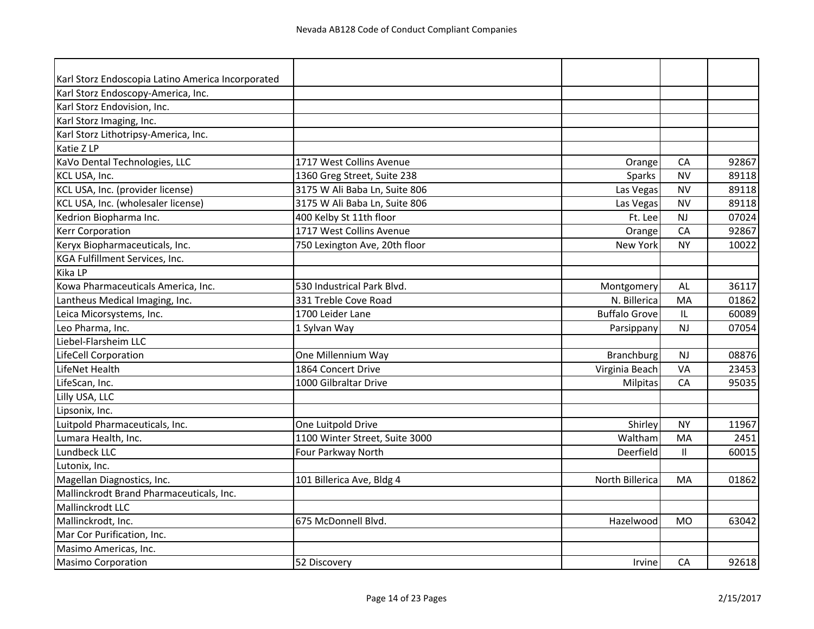| Karl Storz Endoscopia Latino America Incorporated |                                              |                      |       |
|---------------------------------------------------|----------------------------------------------|----------------------|-------|
| Karl Storz Endoscopy-America, Inc.                |                                              |                      |       |
| Karl Storz Endovision, Inc.                       |                                              |                      |       |
| Karl Storz Imaging, Inc.                          |                                              |                      |       |
| Karl Storz Lithotripsy-America, Inc.              |                                              |                      |       |
| Katie Z LP                                        |                                              |                      |       |
| KaVo Dental Technologies, LLC                     | 1717 West Collins Avenue                     | CA<br>Orange         | 92867 |
| KCL USA, Inc.                                     | 1360 Greg Street, Suite 238                  | Sparks<br><b>NV</b>  | 89118 |
| KCL USA, Inc. (provider license)                  | 3175 W Ali Baba Ln, Suite 806<br>Las Vegas   | <b>NV</b>            | 89118 |
| KCL USA, Inc. (wholesaler license)                | 3175 W Ali Baba Ln, Suite 806<br>Las Vegas   | <b>NV</b>            | 89118 |
| Kedrion Biopharma Inc.                            | 400 Kelby St 11th floor                      | Ft. Lee<br><b>NJ</b> | 07024 |
| <b>Kerr Corporation</b>                           | 1717 West Collins Avenue                     | CA<br>Orange         | 92867 |
| Keryx Biopharmaceuticals, Inc.                    | 750 Lexington Ave, 20th floor<br>New York    | <b>NY</b>            | 10022 |
| KGA Fulfillment Services, Inc.                    |                                              |                      |       |
| Kika LP                                           |                                              |                      |       |
| Kowa Pharmaceuticals America, Inc.                | 530 Industrical Park Blvd.<br>Montgomery     | AL                   | 36117 |
| Lantheus Medical Imaging, Inc.                    | 331 Treble Cove Road<br>N. Billerica         | MA                   | 01862 |
| Leica Micorsystems, Inc.                          | 1700 Leider Lane<br><b>Buffalo Grove</b>     | IL                   | 60089 |
| Leo Pharma, Inc.                                  | 1 Sylvan Way<br>Parsippany                   | <b>NJ</b>            | 07054 |
| Liebel-Flarsheim LLC                              |                                              |                      |       |
| LifeCell Corporation                              | One Millennium Way<br><b>Branchburg</b>      | NJ                   | 08876 |
| LifeNet Health                                    | 1864 Concert Drive<br>Virginia Beach         | VA                   | 23453 |
| LifeScan, Inc.                                    | 1000 Gilbraltar Drive<br>Milpitas            | CA                   | 95035 |
| Lilly USA, LLC                                    |                                              |                      |       |
| Lipsonix, Inc.                                    |                                              |                      |       |
| Luitpold Pharmaceuticals, Inc.                    | One Luitpold Drive                           | <b>NY</b><br>Shirley | 11967 |
| Lumara Health, Inc.                               | 1100 Winter Street, Suite 3000<br>Waltham    | MA                   | 2451  |
| Lundbeck LLC                                      | Four Parkway North<br>Deerfield              | $\mathbf{I}$         | 60015 |
| Lutonix, Inc.                                     |                                              |                      |       |
| Magellan Diagnostics, Inc.                        | North Billerica<br>101 Billerica Ave, Bldg 4 | <b>MA</b>            | 01862 |
| Mallinckrodt Brand Pharmaceuticals, Inc.          |                                              |                      |       |
| Mallinckrodt LLC                                  |                                              |                      |       |
| Mallinckrodt, Inc.                                | 675 McDonnell Blvd.<br>Hazelwood             | <b>MO</b>            | 63042 |
| Mar Cor Purification, Inc.                        |                                              |                      |       |
| Masimo Americas, Inc.                             |                                              |                      |       |
| <b>Masimo Corporation</b>                         | 52 Discovery                                 | Irvine<br>CA         | 92618 |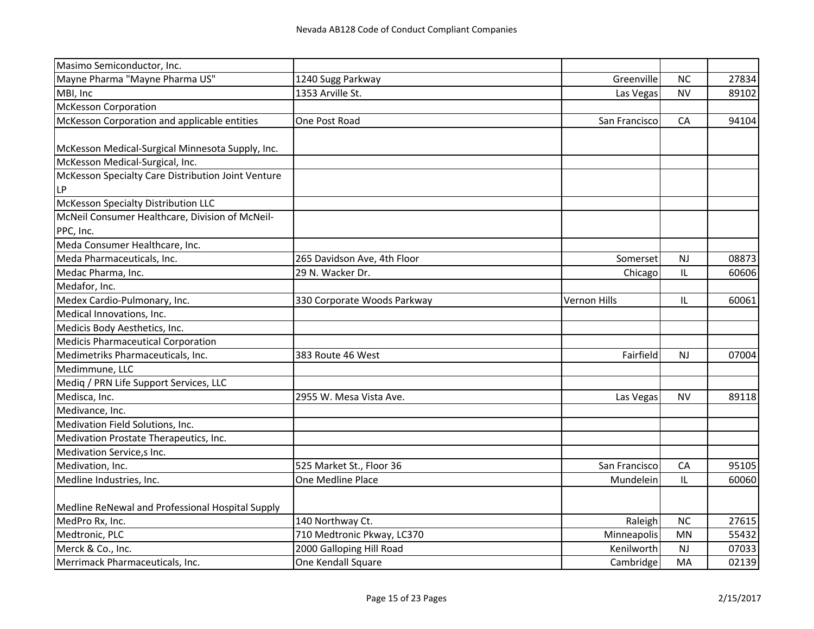| Masimo Semiconductor, Inc.                         |                             |                     |           |       |
|----------------------------------------------------|-----------------------------|---------------------|-----------|-------|
| Mayne Pharma "Mayne Pharma US"                     | 1240 Sugg Parkway           | Greenville          | <b>NC</b> | 27834 |
| MBI, Inc                                           | 1353 Arville St.            | Las Vegas           | <b>NV</b> | 89102 |
| <b>McKesson Corporation</b>                        |                             |                     |           |       |
| McKesson Corporation and applicable entities       | One Post Road               | San Francisco       | CA        | 94104 |
|                                                    |                             |                     |           |       |
| McKesson Medical-Surgical Minnesota Supply, Inc.   |                             |                     |           |       |
| McKesson Medical-Surgical, Inc.                    |                             |                     |           |       |
| McKesson Specialty Care Distribution Joint Venture |                             |                     |           |       |
| LP                                                 |                             |                     |           |       |
| McKesson Specialty Distribution LLC                |                             |                     |           |       |
| McNeil Consumer Healthcare, Division of McNeil-    |                             |                     |           |       |
| PPC, Inc.                                          |                             |                     |           |       |
| Meda Consumer Healthcare, Inc.                     |                             |                     |           |       |
| Meda Pharmaceuticals, Inc.                         | 265 Davidson Ave, 4th Floor | Somerset            | <b>NJ</b> | 08873 |
| Medac Pharma, Inc.                                 | 29 N. Wacker Dr.            | Chicago             | IL        | 60606 |
| Medafor, Inc.                                      |                             |                     |           |       |
| Medex Cardio-Pulmonary, Inc.                       | 330 Corporate Woods Parkway | <b>Vernon Hills</b> | IL        | 60061 |
| Medical Innovations, Inc.                          |                             |                     |           |       |
| Medicis Body Aesthetics, Inc.                      |                             |                     |           |       |
| Medicis Pharmaceutical Corporation                 |                             |                     |           |       |
| Medimetriks Pharmaceuticals, Inc.                  | 383 Route 46 West           | Fairfield           | <b>NJ</b> | 07004 |
| Medimmune, LLC                                     |                             |                     |           |       |
| Mediq / PRN Life Support Services, LLC             |                             |                     |           |       |
| Medisca, Inc.                                      | 2955 W. Mesa Vista Ave.     | Las Vegas           | <b>NV</b> | 89118 |
| Medivance, Inc.                                    |                             |                     |           |       |
| Medivation Field Solutions, Inc.                   |                             |                     |           |       |
| Medivation Prostate Therapeutics, Inc.             |                             |                     |           |       |
| Medivation Service, s Inc.                         |                             |                     |           |       |
| Medivation, Inc.                                   | 525 Market St., Floor 36    | San Francisco       | CA        | 95105 |
| Medline Industries, Inc.                           | One Medline Place           | Mundelein           | IL        | 60060 |
| Medline ReNewal and Professional Hospital Supply   |                             |                     |           |       |
| MedPro Rx, Inc.                                    | 140 Northway Ct.            | Raleigh             | <b>NC</b> | 27615 |
| Medtronic, PLC                                     | 710 Medtronic Pkway, LC370  | Minneapolis         | MN        | 55432 |
| Merck & Co., Inc.                                  | 2000 Galloping Hill Road    | Kenilworth          | NJ        | 07033 |
| Merrimack Pharmaceuticals, Inc.                    | One Kendall Square          | Cambridge           | MA        | 02139 |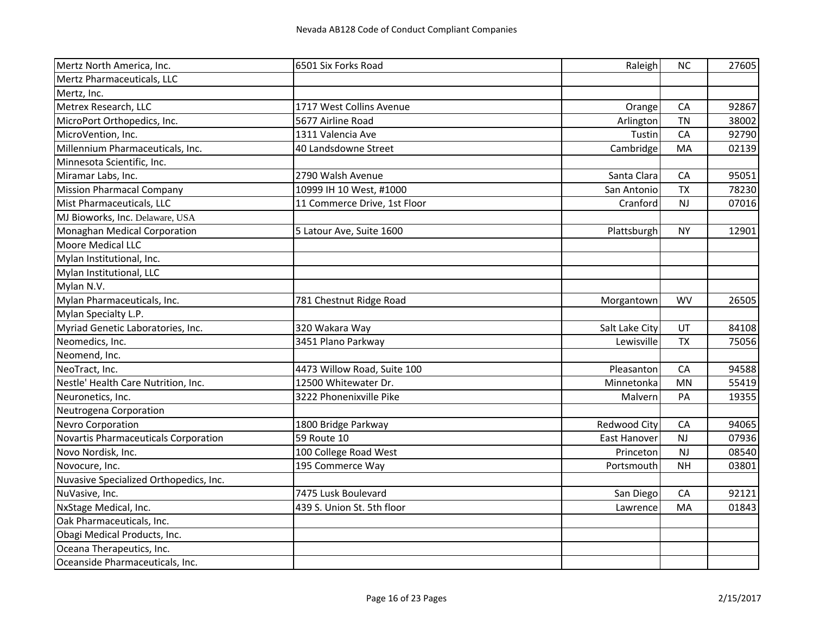| Mertz North America, Inc.              | 6501 Six Forks Road          | Raleigh        | <b>NC</b> | 27605 |
|----------------------------------------|------------------------------|----------------|-----------|-------|
| Mertz Pharmaceuticals, LLC             |                              |                |           |       |
| Mertz, Inc.                            |                              |                |           |       |
| Metrex Research, LLC                   | 1717 West Collins Avenue     | Orange         | CA        | 92867 |
| MicroPort Orthopedics, Inc.            | 5677 Airline Road            | Arlington      | <b>TN</b> | 38002 |
| MicroVention, Inc.                     | 1311 Valencia Ave            | Tustin         | CA        | 92790 |
| Millennium Pharmaceuticals, Inc.       | 40 Landsdowne Street         | Cambridge      | MA        | 02139 |
| Minnesota Scientific, Inc.             |                              |                |           |       |
| Miramar Labs, Inc.                     | 2790 Walsh Avenue            | Santa Clara    | CA        | 95051 |
| <b>Mission Pharmacal Company</b>       | 10999 IH 10 West, #1000      | San Antonio    | <b>TX</b> | 78230 |
| Mist Pharmaceuticals, LLC              | 11 Commerce Drive, 1st Floor | Cranford       | <b>NJ</b> | 07016 |
| MJ Bioworks, Inc. Delaware, USA        |                              |                |           |       |
| Monaghan Medical Corporation           | 5 Latour Ave, Suite 1600     | Plattsburgh    | <b>NY</b> | 12901 |
| Moore Medical LLC                      |                              |                |           |       |
| Mylan Institutional, Inc.              |                              |                |           |       |
| Mylan Institutional, LLC               |                              |                |           |       |
| Mylan N.V.                             |                              |                |           |       |
| Mylan Pharmaceuticals, Inc.            | 781 Chestnut Ridge Road      | Morgantown     | <b>WV</b> | 26505 |
| Mylan Specialty L.P.                   |                              |                |           |       |
| Myriad Genetic Laboratories, Inc.      | 320 Wakara Way               | Salt Lake City | UT        | 84108 |
| Neomedics, Inc.                        | 3451 Plano Parkway           | Lewisville     | <b>TX</b> | 75056 |
| Neomend, Inc.                          |                              |                |           |       |
| NeoTract, Inc.                         | 4473 Willow Road, Suite 100  | Pleasanton     | CA        | 94588 |
| Nestle' Health Care Nutrition, Inc.    | 12500 Whitewater Dr.         | Minnetonka     | MN        | 55419 |
| Neuronetics, Inc.                      | 3222 Phonenixville Pike      | Malvern        | PA        | 19355 |
| Neutrogena Corporation                 |                              |                |           |       |
| <b>Nevro Corporation</b>               | 1800 Bridge Parkway          | Redwood City   | CA        | 94065 |
| Novartis Pharmaceuticals Corporation   | 59 Route 10                  | East Hanover   | <b>NJ</b> | 07936 |
| Novo Nordisk, Inc.                     | 100 College Road West        | Princeton      | <b>NJ</b> | 08540 |
| Novocure, Inc.                         | 195 Commerce Way             | Portsmouth     | <b>NH</b> | 03801 |
| Nuvasive Specialized Orthopedics, Inc. |                              |                |           |       |
| NuVasive, Inc.                         | 7475 Lusk Boulevard          | San Diego      | CA        | 92121 |
| NxStage Medical, Inc.                  | 439 S. Union St. 5th floor   | Lawrence       | MA        | 01843 |
| Oak Pharmaceuticals, Inc.              |                              |                |           |       |
| Obagi Medical Products, Inc.           |                              |                |           |       |
| Oceana Therapeutics, Inc.              |                              |                |           |       |
| Oceanside Pharmaceuticals, Inc.        |                              |                |           |       |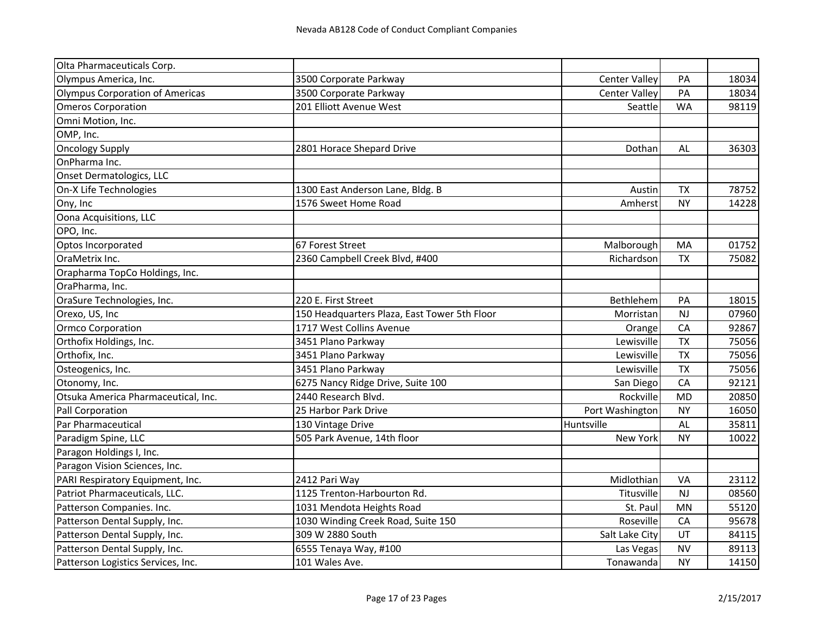| Olta Pharmaceuticals Corp.          |                                              |                      |           |       |
|-------------------------------------|----------------------------------------------|----------------------|-----------|-------|
| Olympus America, Inc.               | 3500 Corporate Parkway                       | <b>Center Valley</b> | PA        | 18034 |
| Olympus Corporation of Americas     | 3500 Corporate Parkway                       | <b>Center Valley</b> | PA        | 18034 |
| <b>Omeros Corporation</b>           | 201 Elliott Avenue West                      | Seattle              | <b>WA</b> | 98119 |
| Omni Motion, Inc.                   |                                              |                      |           |       |
| OMP, Inc.                           |                                              |                      |           |       |
| <b>Oncology Supply</b>              | 2801 Horace Shepard Drive                    | Dothan               | AL        | 36303 |
| OnPharma Inc.                       |                                              |                      |           |       |
| Onset Dermatologics, LLC            |                                              |                      |           |       |
| On-X Life Technologies              | 1300 East Anderson Lane, Bldg. B             | Austin               | <b>TX</b> | 78752 |
| Ony, Inc                            | 1576 Sweet Home Road                         | Amherst              | <b>NY</b> | 14228 |
| Oona Acquisitions, LLC              |                                              |                      |           |       |
| OPO, Inc.                           |                                              |                      |           |       |
| Optos Incorporated                  | 67 Forest Street                             | Malborough           | MA        | 01752 |
| OraMetrix Inc.                      | 2360 Campbell Creek Blvd, #400               | Richardson           | <b>TX</b> | 75082 |
| Orapharma TopCo Holdings, Inc.      |                                              |                      |           |       |
| OraPharma, Inc.                     |                                              |                      |           |       |
| OraSure Technologies, Inc.          | 220 E. First Street                          | Bethlehem            | PA        | 18015 |
| Orexo, US, Inc                      | 150 Headquarters Plaza, East Tower 5th Floor | Morristan            | <b>NJ</b> | 07960 |
| Ormco Corporation                   | 1717 West Collins Avenue                     | Orange               | CA        | 92867 |
| Orthofix Holdings, Inc.             | 3451 Plano Parkway                           | Lewisville           | <b>TX</b> | 75056 |
| Orthofix, Inc.                      | 3451 Plano Parkway                           | Lewisville           | <b>TX</b> | 75056 |
| Osteogenics, Inc.                   | 3451 Plano Parkway                           | Lewisville           | <b>TX</b> | 75056 |
| Otonomy, Inc.                       | 6275 Nancy Ridge Drive, Suite 100            | San Diego            | CA        | 92121 |
| Otsuka America Pharmaceutical, Inc. | 2440 Research Blvd.                          | Rockville            | <b>MD</b> | 20850 |
| Pall Corporation                    | 25 Harbor Park Drive                         | Port Washington      | <b>NY</b> | 16050 |
| Par Pharmaceutical                  | 130 Vintage Drive                            | Huntsville           | AL        | 35811 |
| Paradigm Spine, LLC                 | 505 Park Avenue, 14th floor                  | <b>New York</b>      | <b>NY</b> | 10022 |
| Paragon Holdings I, Inc.            |                                              |                      |           |       |
| Paragon Vision Sciences, Inc.       |                                              |                      |           |       |
| PARI Respiratory Equipment, Inc.    | 2412 Pari Way                                | Midlothian           | VA        | 23112 |
| Patriot Pharmaceuticals, LLC.       | 1125 Trenton-Harbourton Rd.                  | Titusville           | NJ        | 08560 |
| Patterson Companies. Inc.           | 1031 Mendota Heights Road                    | St. Paul             | MN        | 55120 |
| Patterson Dental Supply, Inc.       | 1030 Winding Creek Road, Suite 150           | Roseville            | CA        | 95678 |
| Patterson Dental Supply, Inc.       | 309 W 2880 South                             | Salt Lake City       | UT        | 84115 |
| Patterson Dental Supply, Inc.       | 6555 Tenaya Way, #100                        | Las Vegas            | <b>NV</b> | 89113 |
| Patterson Logistics Services, Inc.  | 101 Wales Ave.                               | Tonawanda            | <b>NY</b> | 14150 |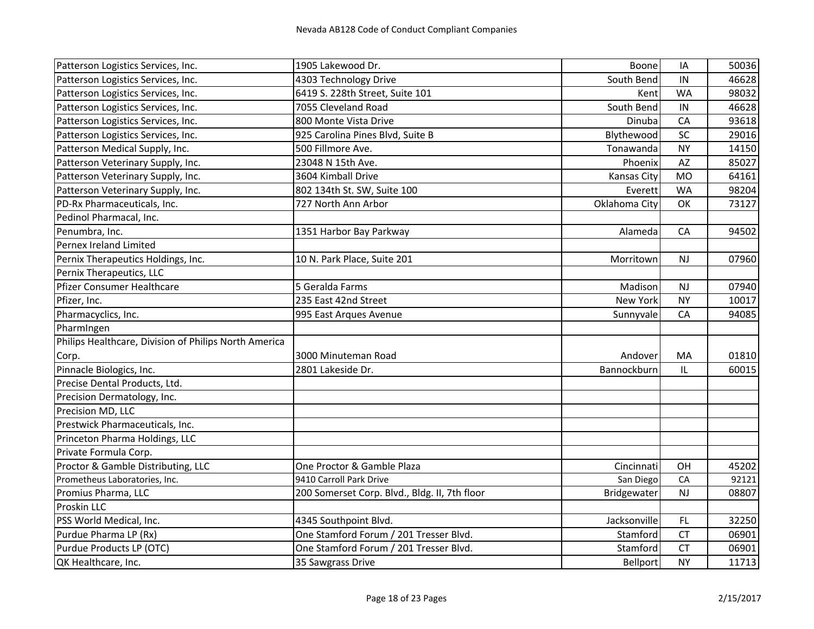| Patterson Logistics Services, Inc.                    | 1905 Lakewood Dr.                             | Boone              | IA        | 50036 |
|-------------------------------------------------------|-----------------------------------------------|--------------------|-----------|-------|
| Patterson Logistics Services, Inc.                    | 4303 Technology Drive                         | South Bend         | IN        | 46628 |
| Patterson Logistics Services, Inc.                    | 6419 S. 228th Street, Suite 101               | Kent               | <b>WA</b> | 98032 |
| Patterson Logistics Services, Inc.                    | 7055 Cleveland Road                           | South Bend         | IN        | 46628 |
| Patterson Logistics Services, Inc.                    | 800 Monte Vista Drive                         | Dinuba             | CA        | 93618 |
| Patterson Logistics Services, Inc.                    | 925 Carolina Pines Blvd, Suite B              | Blythewood         | SC        | 29016 |
| Patterson Medical Supply, Inc.                        | 500 Fillmore Ave.                             | Tonawanda          | <b>NY</b> | 14150 |
| Patterson Veterinary Supply, Inc.                     | 23048 N 15th Ave.                             | Phoenix            | AZ        | 85027 |
| Patterson Veterinary Supply, Inc.                     | 3604 Kimball Drive                            | <b>Kansas City</b> | <b>MO</b> | 64161 |
| Patterson Veterinary Supply, Inc.                     | 802 134th St. SW, Suite 100                   | Everett            | <b>WA</b> | 98204 |
| PD-Rx Pharmaceuticals, Inc.                           | 727 North Ann Arbor                           | Oklahoma City      | OK        | 73127 |
| Pedinol Pharmacal, Inc.                               |                                               |                    |           |       |
| Penumbra, Inc.                                        | 1351 Harbor Bay Parkway                       | Alameda            | CA        | 94502 |
| Pernex Ireland Limited                                |                                               |                    |           |       |
| Pernix Therapeutics Holdings, Inc.                    | 10 N. Park Place, Suite 201                   | Morritown          | <b>NJ</b> | 07960 |
| Pernix Therapeutics, LLC                              |                                               |                    |           |       |
| Pfizer Consumer Healthcare                            | 5 Geralda Farms                               | Madison            | <b>NJ</b> | 07940 |
| Pfizer, Inc.                                          | 235 East 42nd Street                          | <b>New York</b>    | <b>NY</b> | 10017 |
| Pharmacyclics, Inc.                                   | 995 East Arques Avenue                        | Sunnyvale          | CA        | 94085 |
| PharmIngen                                            |                                               |                    |           |       |
| Philips Healthcare, Division of Philips North America |                                               |                    |           |       |
| Corp.                                                 | 3000 Minuteman Road                           | Andover            | MA        | 01810 |
| Pinnacle Biologics, Inc.                              | 2801 Lakeside Dr.                             | Bannockburn        | IL        | 60015 |
| Precise Dental Products, Ltd.                         |                                               |                    |           |       |
| Precision Dermatology, Inc.                           |                                               |                    |           |       |
| Precision MD, LLC                                     |                                               |                    |           |       |
| Prestwick Pharmaceuticals, Inc.                       |                                               |                    |           |       |
| Princeton Pharma Holdings, LLC                        |                                               |                    |           |       |
| Private Formula Corp.                                 |                                               |                    |           |       |
| Proctor & Gamble Distributing, LLC                    | One Proctor & Gamble Plaza                    | Cincinnati         | OH        | 45202 |
| Prometheus Laboratories, Inc.                         | 9410 Carroll Park Drive                       | San Diego          | CA        | 92121 |
| Promius Pharma, LLC                                   | 200 Somerset Corp. Blvd., Bldg. II, 7th floor | Bridgewater        | NJ        | 08807 |
| Proskin LLC                                           |                                               |                    |           |       |
| PSS World Medical, Inc.                               | 4345 Southpoint Blvd.                         | Jacksonville       | FL.       | 32250 |
| Purdue Pharma LP (Rx)                                 | One Stamford Forum / 201 Tresser Blvd.        | Stamford           | <b>CT</b> | 06901 |
| Purdue Products LP (OTC)                              | One Stamford Forum / 201 Tresser Blvd.        | Stamford           | <b>CT</b> | 06901 |
| QK Healthcare, Inc.                                   | 35 Sawgrass Drive                             | Bellport           | <b>NY</b> | 11713 |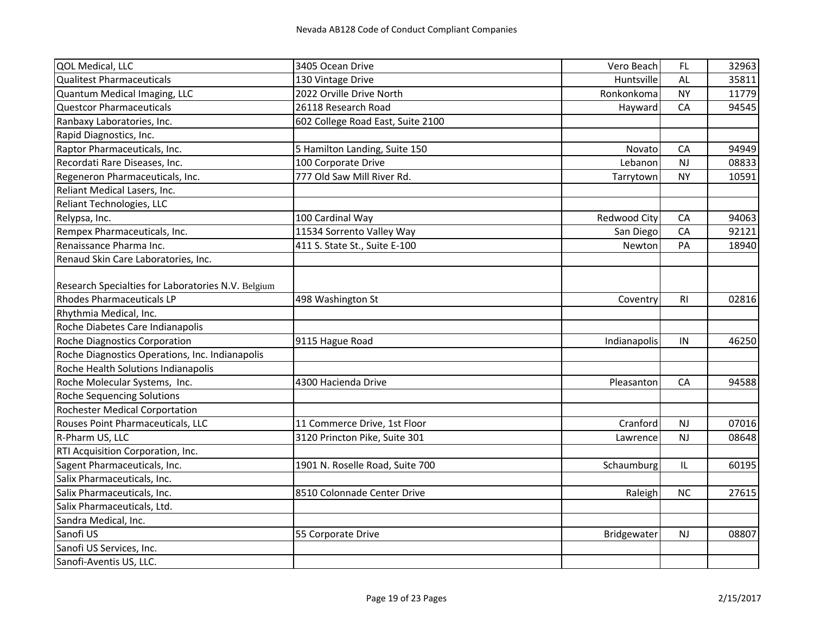| QOL Medical, LLC                                   | 3405 Ocean Drive                  | Vero Beach   | FL                                | 32963 |
|----------------------------------------------------|-----------------------------------|--------------|-----------------------------------|-------|
| <b>Qualitest Pharmaceuticals</b>                   | 130 Vintage Drive                 | Huntsville   | <b>AL</b>                         | 35811 |
| Quantum Medical Imaging, LLC                       | 2022 Orville Drive North          | Ronkonkoma   | <b>NY</b>                         | 11779 |
| <b>Questcor Pharmaceuticals</b>                    | 26118 Research Road               | Hayward      | CA                                | 94545 |
| Ranbaxy Laboratories, Inc.                         | 602 College Road East, Suite 2100 |              |                                   |       |
| Rapid Diagnostics, Inc.                            |                                   |              |                                   |       |
| Raptor Pharmaceuticals, Inc.                       | 5 Hamilton Landing, Suite 150     | Novato       | CA                                | 94949 |
| Recordati Rare Diseases, Inc.                      | 100 Corporate Drive               | Lebanon      | <b>NJ</b>                         | 08833 |
| Regeneron Pharmaceuticals, Inc.                    | 777 Old Saw Mill River Rd.        | Tarrytown    | <b>NY</b>                         | 10591 |
| Reliant Medical Lasers, Inc.                       |                                   |              |                                   |       |
| Reliant Technologies, LLC                          |                                   |              |                                   |       |
| Relypsa, Inc.                                      | 100 Cardinal Way                  | Redwood City | CA                                | 94063 |
| Rempex Pharmaceuticals, Inc.                       | 11534 Sorrento Valley Way         | San Diego    | CA                                | 92121 |
| Renaissance Pharma Inc.                            | 411 S. State St., Suite E-100     | Newton       | PA                                | 18940 |
| Renaud Skin Care Laboratories, Inc.                |                                   |              |                                   |       |
|                                                    |                                   |              |                                   |       |
| Research Specialties for Laboratories N.V. Belgium |                                   |              |                                   |       |
| <b>Rhodes Pharmaceuticals LP</b>                   | 498 Washington St                 | Coventry     | R <sub>l</sub>                    | 02816 |
| Rhythmia Medical, Inc.                             |                                   |              |                                   |       |
| Roche Diabetes Care Indianapolis                   |                                   |              |                                   |       |
| <b>Roche Diagnostics Corporation</b>               | 9115 Hague Road                   | Indianapolis | IN                                | 46250 |
| Roche Diagnostics Operations, Inc. Indianapolis    |                                   |              |                                   |       |
| Roche Health Solutions Indianapolis                |                                   |              |                                   |       |
| Roche Molecular Systems, Inc.                      | 4300 Hacienda Drive               | Pleasanton   | CA                                | 94588 |
| <b>Roche Sequencing Solutions</b>                  |                                   |              |                                   |       |
| Rochester Medical Corportation                     |                                   |              |                                   |       |
| Rouses Point Pharmaceuticals, LLC                  | 11 Commerce Drive, 1st Floor      | Cranford     | <b>NJ</b>                         | 07016 |
| R-Pharm US, LLC                                    | 3120 Princton Pike, Suite 301     | Lawrence     | <b>NJ</b>                         | 08648 |
| RTI Acquisition Corporation, Inc.                  |                                   |              |                                   |       |
| Sagent Pharmaceuticals, Inc.                       | 1901 N. Roselle Road, Suite 700   | Schaumburg   | $\ensuremath{\mathsf{IL}}\xspace$ | 60195 |
| Salix Pharmaceuticals, Inc.                        |                                   |              |                                   |       |
| Salix Pharmaceuticals, Inc.                        | 8510 Colonnade Center Drive       | Raleigh      | <b>NC</b>                         | 27615 |
| Salix Pharmaceuticals, Ltd.                        |                                   |              |                                   |       |
| Sandra Medical, Inc.                               |                                   |              |                                   |       |
| Sanofi US                                          | 55 Corporate Drive                | Bridgewater  | NJ                                | 08807 |
| Sanofi US Services, Inc.                           |                                   |              |                                   |       |
| Sanofi-Aventis US, LLC.                            |                                   |              |                                   |       |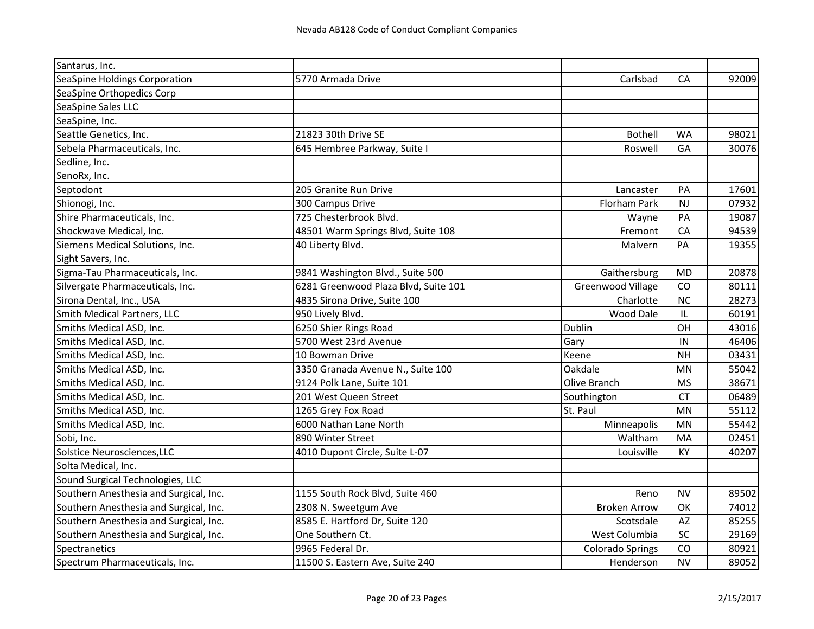| Santarus, Inc.                         |                                      |                         |           |       |
|----------------------------------------|--------------------------------------|-------------------------|-----------|-------|
| SeaSpine Holdings Corporation          | 5770 Armada Drive                    | Carlsbad                | CA        | 92009 |
| SeaSpine Orthopedics Corp              |                                      |                         |           |       |
| SeaSpine Sales LLC                     |                                      |                         |           |       |
| SeaSpine, Inc.                         |                                      |                         |           |       |
| Seattle Genetics, Inc.                 | 21823 30th Drive SE                  | <b>Bothell</b>          | <b>WA</b> | 98021 |
| Sebela Pharmaceuticals, Inc.           | 645 Hembree Parkway, Suite I         | Roswell                 | GA        | 30076 |
| Sedline, Inc.                          |                                      |                         |           |       |
| SenoRx, Inc.                           |                                      |                         |           |       |
| Septodont                              | 205 Granite Run Drive                | Lancaster               | PA        | 17601 |
| Shionogi, Inc.                         | 300 Campus Drive                     | Florham Park            | NJ        | 07932 |
| Shire Pharmaceuticals, Inc.            | 725 Chesterbrook Blvd.               | Wayne                   | PA        | 19087 |
| Shockwave Medical, Inc.                | 48501 Warm Springs Blvd, Suite 108   | Fremont                 | CA        | 94539 |
| Siemens Medical Solutions, Inc.        | 40 Liberty Blvd.                     | Malvern                 | PA        | 19355 |
| Sight Savers, Inc.                     |                                      |                         |           |       |
| Sigma-Tau Pharmaceuticals, Inc.        | 9841 Washington Blvd., Suite 500     | Gaithersburg            | <b>MD</b> | 20878 |
| Silvergate Pharmaceuticals, Inc.       | 6281 Greenwood Plaza Blvd, Suite 101 | Greenwood Village       | CO        | 80111 |
| Sirona Dental, Inc., USA               | 4835 Sirona Drive, Suite 100         | Charlotte               | <b>NC</b> | 28273 |
| Smith Medical Partners, LLC            | 950 Lively Blvd.                     | Wood Dale               | IL        | 60191 |
| Smiths Medical ASD, Inc.               | 6250 Shier Rings Road                | Dublin                  | OH        | 43016 |
| Smiths Medical ASD, Inc.               | 5700 West 23rd Avenue                | Gary                    | IN        | 46406 |
| Smiths Medical ASD, Inc.               | 10 Bowman Drive                      | Keene                   | <b>NH</b> | 03431 |
| Smiths Medical ASD, Inc.               | 3350 Granada Avenue N., Suite 100    | Oakdale                 | MN        | 55042 |
| Smiths Medical ASD, Inc.               | 9124 Polk Lane, Suite 101            | Olive Branch            | <b>MS</b> | 38671 |
| Smiths Medical ASD, Inc.               | 201 West Queen Street                | Southington             | <b>CT</b> | 06489 |
| Smiths Medical ASD, Inc.               | 1265 Grey Fox Road                   | St. Paul                | <b>MN</b> | 55112 |
| Smiths Medical ASD, Inc.               | 6000 Nathan Lane North               | Minneapolis             | <b>MN</b> | 55442 |
| Sobi, Inc.                             | 890 Winter Street                    | Waltham                 | MA        | 02451 |
| Solstice Neurosciences, LLC            | 4010 Dupont Circle, Suite L-07       | Louisville              | KY        | 40207 |
| Solta Medical, Inc.                    |                                      |                         |           |       |
| Sound Surgical Technologies, LLC       |                                      |                         |           |       |
| Southern Anesthesia and Surgical, Inc. | 1155 South Rock Blvd, Suite 460      | Reno                    | <b>NV</b> | 89502 |
| Southern Anesthesia and Surgical, Inc. | 2308 N. Sweetgum Ave                 | <b>Broken Arrow</b>     | OK        | 74012 |
| Southern Anesthesia and Surgical, Inc. | 8585 E. Hartford Dr, Suite 120       | Scotsdale               | AZ        | 85255 |
| Southern Anesthesia and Surgical, Inc. | One Southern Ct.                     | West Columbia           | SC        | 29169 |
| Spectranetics                          | 9965 Federal Dr.                     | <b>Colorado Springs</b> | CO        | 80921 |
| Spectrum Pharmaceuticals, Inc.         | 11500 S. Eastern Ave, Suite 240      | Henderson               | <b>NV</b> | 89052 |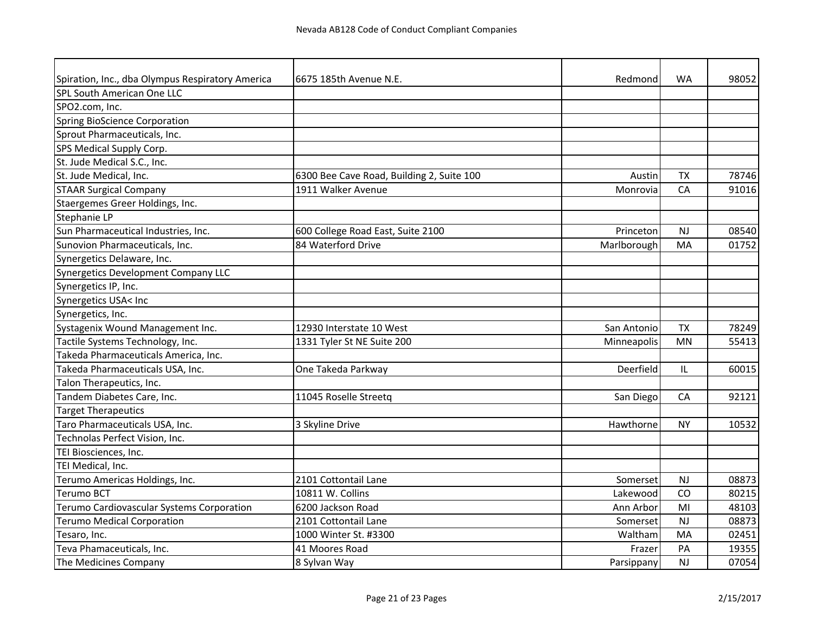| Spiration, Inc., dba Olympus Respiratory America | 6675 185th Avenue N.E.                    | Redmond     | <b>WA</b> | 98052 |
|--------------------------------------------------|-------------------------------------------|-------------|-----------|-------|
| SPL South American One LLC                       |                                           |             |           |       |
| SPO2.com, Inc.                                   |                                           |             |           |       |
| <b>Spring BioScience Corporation</b>             |                                           |             |           |       |
| Sprout Pharmaceuticals, Inc.                     |                                           |             |           |       |
| SPS Medical Supply Corp.                         |                                           |             |           |       |
| St. Jude Medical S.C., Inc.                      |                                           |             |           |       |
| St. Jude Medical, Inc.                           | 6300 Bee Cave Road, Building 2, Suite 100 | Austin      | <b>TX</b> | 78746 |
| <b>STAAR Surgical Company</b>                    | 1911 Walker Avenue                        | Monrovia    | CA        | 91016 |
| Staergemes Greer Holdings, Inc.                  |                                           |             |           |       |
| Stephanie LP                                     |                                           |             |           |       |
| Sun Pharmaceutical Industries, Inc.              | 600 College Road East, Suite 2100         | Princeton   | <b>NJ</b> | 08540 |
| Sunovion Pharmaceuticals, Inc.                   | 84 Waterford Drive                        | Marlborough | MA        | 01752 |
| Synergetics Delaware, Inc.                       |                                           |             |           |       |
| Synergetics Development Company LLC              |                                           |             |           |       |
| Synergetics IP, Inc.                             |                                           |             |           |       |
| Synergetics USA< Inc                             |                                           |             |           |       |
| Synergetics, Inc.                                |                                           |             |           |       |
| Systagenix Wound Management Inc.                 | 12930 Interstate 10 West                  | San Antonio | <b>TX</b> | 78249 |
| Tactile Systems Technology, Inc.                 | 1331 Tyler St NE Suite 200                | Minneapolis | <b>MN</b> | 55413 |
| Takeda Pharmaceuticals America, Inc.             |                                           |             |           |       |
| Takeda Pharmaceuticals USA, Inc.                 | One Takeda Parkway                        | Deerfield   | ΙL        | 60015 |
| Talon Therapeutics, Inc.                         |                                           |             |           |       |
| Tandem Diabetes Care, Inc.                       | 11045 Roselle Streetg                     | San Diego   | CA        | 92121 |
| <b>Target Therapeutics</b>                       |                                           |             |           |       |
| Taro Pharmaceuticals USA, Inc.                   | 3 Skyline Drive                           | Hawthorne   | <b>NY</b> | 10532 |
| Technolas Perfect Vision, Inc.                   |                                           |             |           |       |
| TEI Biosciences, Inc.                            |                                           |             |           |       |
| TEI Medical, Inc.                                |                                           |             |           |       |
| Terumo Americas Holdings, Inc.                   | 2101 Cottontail Lane                      | Somerset    | <b>NJ</b> | 08873 |
| <b>Terumo BCT</b>                                | 10811 W. Collins                          | Lakewood    | CO        | 80215 |
| Terumo Cardiovascular Systems Corporation        | 6200 Jackson Road                         | Ann Arbor   | MI        | 48103 |
| <b>Terumo Medical Corporation</b>                | 2101 Cottontail Lane                      | Somerset    | NJ        | 08873 |
| Tesaro, Inc.                                     | 1000 Winter St. #3300                     | Waltham     | MA        | 02451 |
| Teva Phamaceuticals, Inc.                        | 41 Moores Road                            | Frazer      | PA        | 19355 |
| The Medicines Company                            | 8 Sylvan Way                              | Parsippany  | NJ        | 07054 |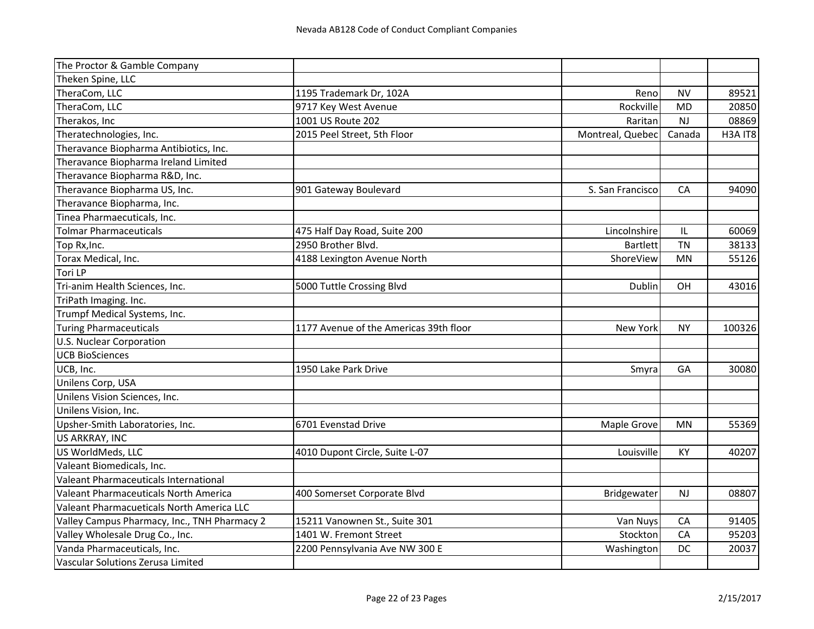| The Proctor & Gamble Company                 |                                        |                  |           |         |
|----------------------------------------------|----------------------------------------|------------------|-----------|---------|
| Theken Spine, LLC                            |                                        |                  |           |         |
| TheraCom, LLC                                | 1195 Trademark Dr, 102A                | Reno             | <b>NV</b> | 89521   |
| TheraCom, LLC                                | 9717 Key West Avenue                   | Rockville        | <b>MD</b> | 20850   |
| Therakos, Inc                                | 1001 US Route 202                      | Raritan          | NJ        | 08869   |
| Theratechnologies, Inc.                      | 2015 Peel Street, 5th Floor            | Montreal, Quebec | Canada    | H3A IT8 |
| Theravance Biopharma Antibiotics, Inc.       |                                        |                  |           |         |
| Theravance Biopharma Ireland Limited         |                                        |                  |           |         |
| Theravance Biopharma R&D, Inc.               |                                        |                  |           |         |
| Theravance Biopharma US, Inc.                | 901 Gateway Boulevard                  | S. San Francisco | CA        | 94090   |
| Theravance Biopharma, Inc.                   |                                        |                  |           |         |
| Tinea Pharmaecuticals, Inc.                  |                                        |                  |           |         |
| <b>Tolmar Pharmaceuticals</b>                | 475 Half Day Road, Suite 200           | Lincolnshire     | L         | 60069   |
| Top Rx, Inc.                                 | 2950 Brother Blvd.                     | <b>Bartlett</b>  | <b>TN</b> | 38133   |
| Torax Medical, Inc.                          | 4188 Lexington Avenue North            | ShoreView        | MN        | 55126   |
| Tori LP                                      |                                        |                  |           |         |
| Tri-anim Health Sciences, Inc.               | 5000 Tuttle Crossing Blvd              | Dublin           | OH        | 43016   |
| TriPath Imaging. Inc.                        |                                        |                  |           |         |
| Trumpf Medical Systems, Inc.                 |                                        |                  |           |         |
| <b>Turing Pharmaceuticals</b>                | 1177 Avenue of the Americas 39th floor | New York         | <b>NY</b> | 100326  |
| <b>U.S. Nuclear Corporation</b>              |                                        |                  |           |         |
| <b>UCB BioSciences</b>                       |                                        |                  |           |         |
| UCB, Inc.                                    | 1950 Lake Park Drive                   | Smyra            | GA        | 30080   |
| Unilens Corp, USA                            |                                        |                  |           |         |
| Unilens Vision Sciences, Inc.                |                                        |                  |           |         |
| Unilens Vision, Inc.                         |                                        |                  |           |         |
| Upsher-Smith Laboratories, Inc.              | 6701 Evenstad Drive                    | Maple Grove      | <b>MN</b> | 55369   |
| US ARKRAY, INC                               |                                        |                  |           |         |
| US WorldMeds, LLC                            | 4010 Dupont Circle, Suite L-07         | Louisville       | KY        | 40207   |
| Valeant Biomedicals, Inc.                    |                                        |                  |           |         |
| <b>Valeant Pharmaceuticals International</b> |                                        |                  |           |         |
| Valeant Pharmaceuticals North America        | 400 Somerset Corporate Blvd            | Bridgewater      | NJ        | 08807   |
| Valeant Pharmacueticals North America LLC    |                                        |                  |           |         |
| Valley Campus Pharmacy, Inc., TNH Pharmacy 2 | 15211 Vanownen St., Suite 301          | Van Nuys         | CA        | 91405   |
| Valley Wholesale Drug Co., Inc.              | 1401 W. Fremont Street                 | Stockton         | CA        | 95203   |
| Vanda Pharmaceuticals, Inc.                  | 2200 Pennsylvania Ave NW 300 E         | Washington       | DC        | 20037   |
| Vascular Solutions Zerusa Limited            |                                        |                  |           |         |